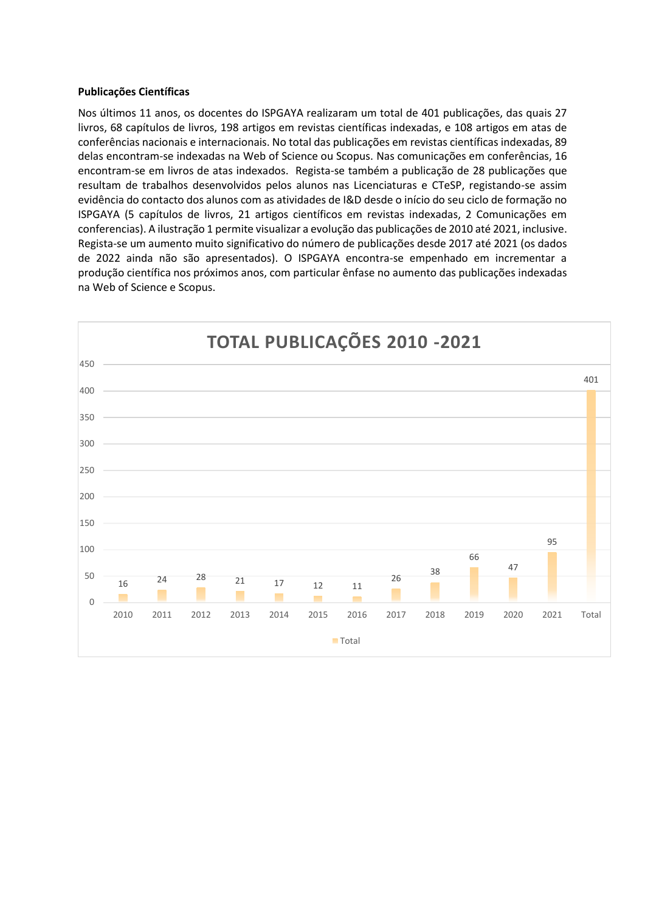# **Publicações Científicas**

Nos últimos 11 anos, os docentes do ISPGAYA realizaram um total de 401 publicações, das quais 27 livros, 68 capítulos de livros, 198 artigos em revistas científicas indexadas, e 108 artigos em atas de conferências nacionais e internacionais. No total das publicações em revistas científicas indexadas, 89 delas encontram-se indexadas na Web of Science ou Scopus. Nas comunicações em conferências, 16 encontram-se em livros de atas indexados. Regista-se também a publicação de 28 publicações que resultam de trabalhos desenvolvidos pelos alunos nas Licenciaturas e CTeSP, registando-se assim evidência do contacto dos alunos com as atividades de I&D desde o início do seu ciclo de formação no ISPGAYA (5 capítulos de livros, 21 artigos científicos em revistas indexadas, 2 Comunicações em conferencias). A ilustração 1 permite visualizar a evolução das publicações de 2010 até 2021, inclusive. Regista-se um aumento muito significativo do número de publicações desde 2017 até 2021 (os dados de 2022 ainda não são apresentados). O ISPGAYA encontra-se empenhado em incrementar a produção científica nos próximos anos, com particular ênfase no aumento das publicações indexadas na Web of Science e Scopus.

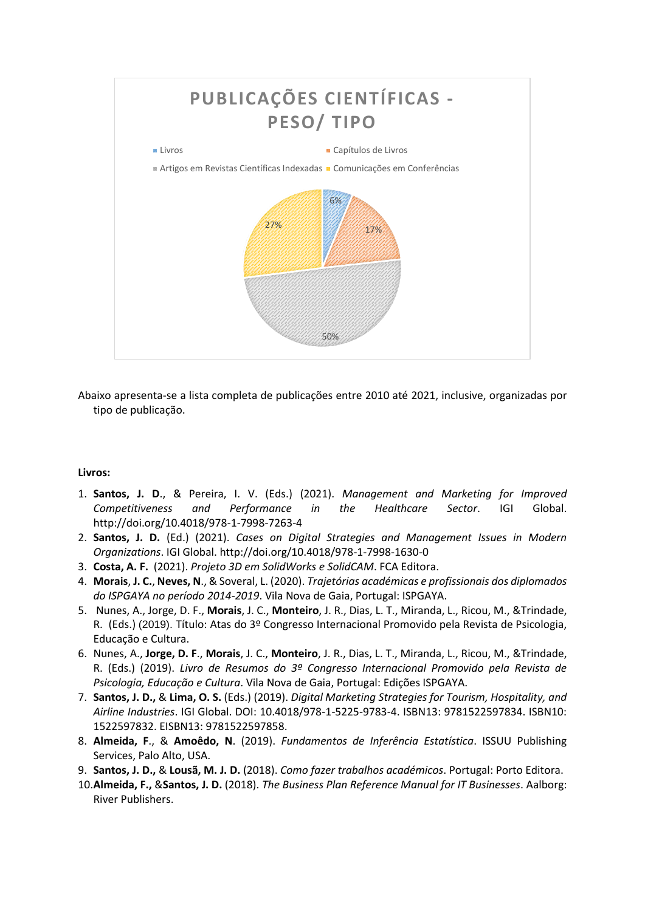

Abaixo apresenta-se a lista completa de publicações entre 2010 até 2021, inclusive, organizadas por tipo de publicação.

## **Livros:**

- 1. **Santos, J. D**., & Pereira, I. V. (Eds.) (2021). *Management and Marketing for Improved Competitiveness and Performance in the Healthcare Sector*. IGI Global. http://doi.org/10.4018/978-1-7998-7263-4
- 2. **Santos, J. D.** (Ed.) (2021). *Cases on Digital Strategies and Management Issues in Modern Organizations*. IGI Global. http://doi.org/10.4018/978-1-7998-1630-0
- 3. **Costa, A. F.** (2021). *Projeto 3D em SolidWorks e SolidCAM*. FCA Editora.
- 4. **Morais**, **J. C.**, **Neves, N**., & Soveral, L. (2020). *Trajetórias académicas e profissionais dos diplomados do ISPGAYA no período 2014-2019*. Vila Nova de Gaia, Portugal: ISPGAYA.
- 5. Nunes, A., Jorge, D. F., **Morais**, J. C., **Monteiro**, J. R., Dias, L. T., Miranda, L., Ricou, M., &Trindade, R. (Eds.) (2019). Título: Atas do 3º Congresso Internacional Promovido pela Revista de Psicologia, Educação e Cultura.
- 6. Nunes, A., **Jorge, D. F**., **Morais**, J. C., **Monteiro**, J. R., Dias, L. T., Miranda, L., Ricou, M., &Trindade, R. (Eds.) (2019). *Livro de Resumos do 3º Congresso Internacional Promovido pela Revista de Psicologia, Educação e Cultura*. Vila Nova de Gaia, Portugal: Edições ISPGAYA.
- 7. **Santos, J. D.,** & **Lima, O. S.** (Eds.) (2019). *Digital Marketing Strategies for Tourism, Hospitality, and Airline Industries*. IGI Global. DOI: 10.4018/978-1-5225-9783-4. ISBN13: 9781522597834. ISBN10: 1522597832. EISBN13: 9781522597858.
- 8. **Almeida, F**., & **Amoêdo, N**. (2019). *Fundamentos de Inferência Estatística*. ISSUU Publishing Services, Palo Alto, USA.
- 9. **Santos, J. D.,** & **Lousã, M. J. D.** (2018). *Como fazer trabalhos académicos*. Portugal: Porto Editora.
- 10.**Almeida, F.,** &**Santos, J. D.** (2018). *The Business Plan Reference Manual for IT Businesses*. Aalborg: River Publishers.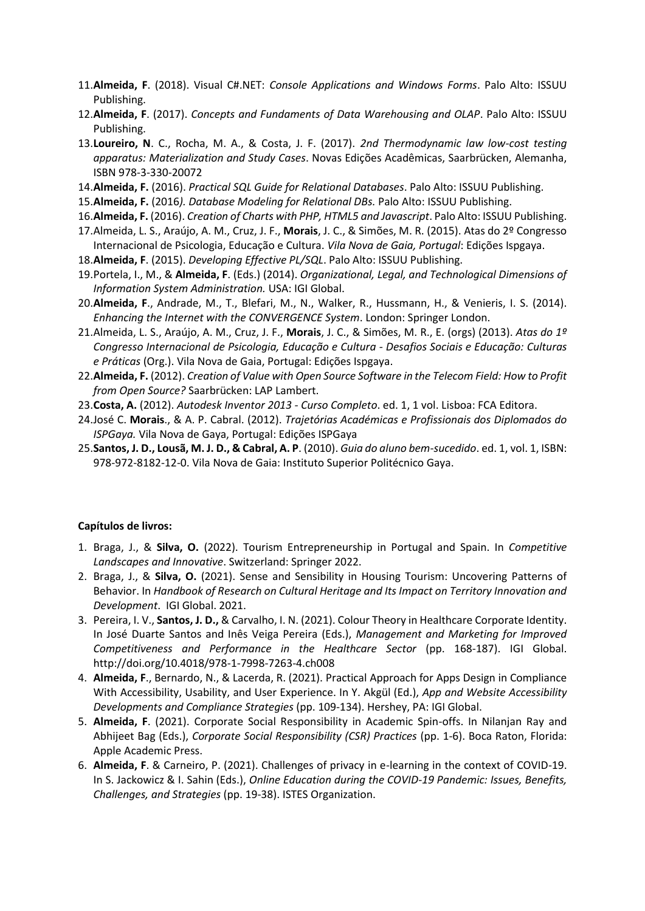- 11.**Almeida, F**. (2018). Visual C#.NET: *Console Applications and Windows Forms*. Palo Alto: ISSUU Publishing.
- 12.**Almeida, F**. (2017). *Concepts and Fundaments of Data Warehousing and OLAP*. Palo Alto: ISSUU Publishing.
- 13.**Loureiro, N**. C., Rocha, M. A., & Costa, J. F. (2017). *2nd Thermodynamic law low-cost testing apparatus: Materialization and Study Cases*. Novas Edições Acadêmicas, Saarbrücken, Alemanha, ISBN 978-3-330-20072
- 14.**Almeida, F.** (2016). *Practical SQL Guide for Relational Databases*. Palo Alto: ISSUU Publishing.
- 15.**Almeida, F.** (2016*). Database Modeling for Relational DBs.* Palo Alto: ISSUU Publishing.
- 16.**Almeida, F.** (2016). *Creation of Charts with PHP, HTML5 and Javascript*. Palo Alto: ISSUU Publishing.
- 17.Almeida, L. S., Araújo, A. M., Cruz, J. F., **Morais**, J. C., & Simões, M. R. (2015). Atas do 2º Congresso Internacional de Psicologia, Educação e Cultura. *Vila Nova de Gaia, Portugal*: Edições Ispgaya.
- 18.**Almeida, F**. (2015). *Developing Effective PL/SQL*. Palo Alto: ISSUU Publishing.
- 19.Portela, I., M., & **Almeida, F**. (Eds.) (2014). *Organizational, Legal, and Technological Dimensions of Information System Administration.* USA: IGI Global.
- 20.**Almeida, F**., Andrade, M., T., Blefari, M., N., Walker, R., Hussmann, H., & Venieris, I. S. (2014). *Enhancing the Internet with the CONVERGENCE System*. London: Springer London.
- 21.Almeida, L. S., Araújo, A. M., Cruz, J. F., **Morais**, J. C., & Simões, M. R., E. (orgs) (2013). *Atas do 1º Congresso Internacional de Psicologia, Educação e Cultura - Desafios Sociais e Educação: Culturas e Práticas* (Org.). Vila Nova de Gaia, Portugal: Edições Ispgaya.
- 22.**Almeida, F.** (2012). *Creation of Value with Open Source Software in the Telecom Field: How to Profit from Open Source?* Saarbrücken: LAP Lambert.
- 23.**Costa, A.** (2012). *Autodesk Inventor 2013 - Curso Completo*. ed. 1, 1 vol. Lisboa: FCA Editora.
- 24.José C. **Morais**., & A. P. Cabral. (2012). *Trajetórias Académicas e Profissionais dos Diplomados do ISPGaya.* Vila Nova de Gaya, Portugal: Edições ISPGaya
- 25.**Santos, J. D., Lousã, M. J. D., & Cabral, A. P**. (2010). *Guia do aluno bem-sucedido*. ed. 1, vol. 1, ISBN: 978-972-8182-12-0. Vila Nova de Gaia: Instituto Superior Politécnico Gaya.

## **Capítulos de livros:**

- 1. Braga, J., & **Silva, O.** (2022). Tourism Entrepreneurship in Portugal and Spain. In *Competitive Landscapes and Innovative*. Switzerland: Springer 2022.
- 2. Braga, J., & **Silva, O.** (2021). Sense and Sensibility in Housing Tourism: Uncovering Patterns of Behavior. In *Handbook of Research on Cultural Heritage and Its Impact on Territory Innovation and Development*. IGI Global. 2021.
- 3. Pereira, I. V., **Santos, J. D.,** & Carvalho, I. N. (2021). Colour Theory in Healthcare Corporate Identity. In José Duarte Santos and Inês Veiga Pereira (Eds.), *Management and Marketing for Improved Competitiveness and Performance in the Healthcare Sector* (pp. 168-187). IGI Global. http://doi.org/10.4018/978-1-7998-7263-4.ch008
- 4. **Almeida, F**., Bernardo, N., & Lacerda, R. (2021). Practical Approach for Apps Design in Compliance With Accessibility, Usability, and User Experience. In Y. Akgül (Ed.), *App and Website Accessibility Developments and Compliance Strategies* (pp. 109-134). Hershey, PA: IGI Global.
- 5. **Almeida, F**. (2021). Corporate Social Responsibility in Academic Spin-offs. In Nilanjan Ray and Abhijeet Bag (Eds.), *Corporate Social Responsibility (CSR) Practices* (pp. 1-6). Boca Raton, Florida: Apple Academic Press.
- 6. **Almeida, F**. & Carneiro, P. (2021). Challenges of privacy in e-learning in the context of COVID-19. In S. Jackowicz & I. Sahin (Eds.), *Online Education during the COVID-19 Pandemic: Issues, Benefits, Challenges, and Strategies* (pp. 19-38). ISTES Organization.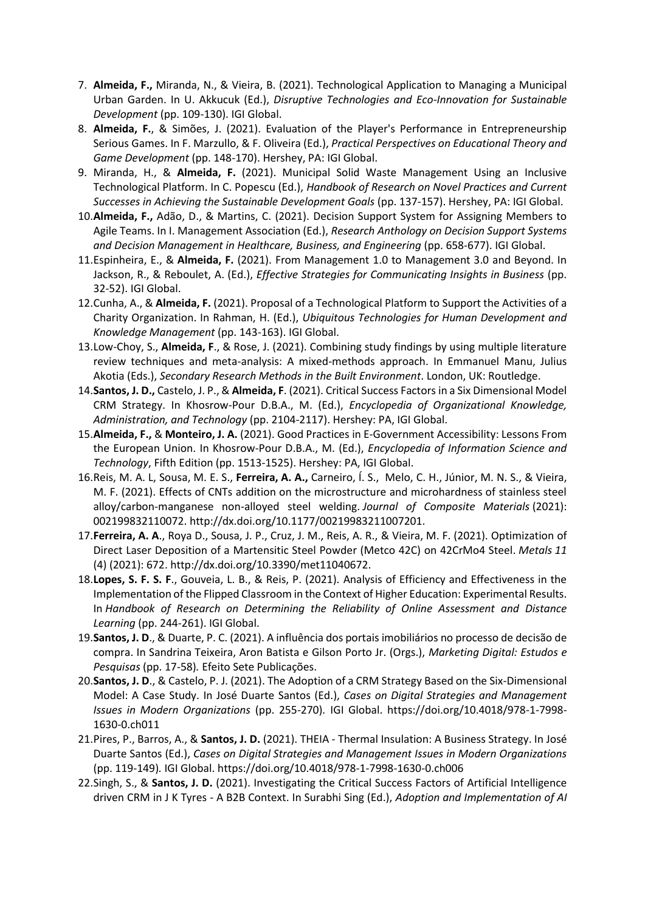- 7. **Almeida, F.,** Miranda, N., & Vieira, B. (2021). Technological Application to Managing a Municipal Urban Garden. In U. Akkucuk (Ed.), *Disruptive Technologies and Eco-Innovation for Sustainable Development* (pp. 109-130). IGI Global.
- 8. **Almeida, F.**, & Simões, J. (2021). Evaluation of the Player's Performance in Entrepreneurship Serious Games. In F. Marzullo, & F. Oliveira (Ed.), *Practical Perspectives on Educational Theory and Game Development* (pp. 148-170). Hershey, PA: IGI Global.
- 9. Miranda, H., & **Almeida, F.** (2021). Municipal Solid Waste Management Using an Inclusive Technological Platform. In C. Popescu (Ed.), *Handbook of Research on Novel Practices and Current Successes in Achieving the Sustainable Development Goals* (pp. 137-157). Hershey, PA: IGI Global.
- 10.**Almeida, F.,** Adão, D., & Martins, C. (2021). Decision Support System for Assigning Members to Agile Teams. In I. Management Association (Ed.), *Research Anthology on Decision Support Systems and Decision Management in Healthcare, Business, and Engineering* (pp. 658-677). IGI Global.
- 11.Espinheira, E., & **Almeida, F.** (2021). From Management 1.0 to Management 3.0 and Beyond. In Jackson, R., & Reboulet, A. (Ed.), *Effective Strategies for Communicating Insights in Business* (pp. 32-52). IGI Global.
- 12.Cunha, A., & **Almeida, F.** (2021). Proposal of a Technological Platform to Support the Activities of a Charity Organization. In Rahman, H. (Ed.), *Ubiquitous Technologies for Human Development and Knowledge Management* (pp. 143-163). IGI Global.
- 13.Low-Choy, S., **Almeida, F**., & Rose, J. (2021). Combining study findings by using multiple literature review techniques and meta-analysis: A mixed-methods approach. In Emmanuel Manu, Julius Akotia (Eds.), *Secondary Research Methods in the Built Environment*. London, UK: Routledge.
- 14.**Santos, J. D.,** Castelo, J. P., & **Almeida, F**. (2021). Critical Success Factors in a Six Dimensional Model CRM Strategy. In Khosrow-Pour D.B.A., M. (Ed.), *Encyclopedia of Organizational Knowledge, Administration, and Technology* (pp. 2104-2117). Hershey: PA, IGI Global.
- 15.**Almeida, F.,** & **Monteiro, J. A.** (2021). Good Practices in E-Government Accessibility: Lessons From the European Union. In Khosrow-Pour D.B.A., M. (Ed.), *Encyclopedia of Information Science and Technology*, Fifth Edition (pp. 1513-1525). Hershey: PA, IGI Global.
- 16.Reis, M. A. L, Sousa, M. E. S., **Ferreira, A. A.,** Carneiro, Í. S., Melo, C. H., Júnior, M. N. S., & Vieira, M. F. (2021). Effects of CNTs addition on the microstructure and microhardness of stainless steel alloy/carbon-manganese non-alloyed steel welding. *Journal of Composite Materials* (2021): 002199832110072. http://dx.doi.org/10.1177/00219983211007201.
- 17.**Ferreira, A. A**., Roya D., Sousa, J. P., Cruz, J. M., Reis, A. R., & Vieira, M. F. (2021). Optimization of Direct Laser Deposition of a Martensitic Steel Powder (Metco 42C) on 42CrMo4 Steel. *Metals 11* (4) (2021): 672. http://dx.doi.org/10.3390/met11040672.
- 18.**Lopes, S. F. S. F**., Gouveia, L. B., & Reis, P. (2021). Analysis of Efficiency and Effectiveness in the Implementation of the Flipped Classroom in the Context of Higher Education: Experimental Results. In *Handbook of Research on Determining the Reliability of Online Assessment and Distance Learning* (pp. 244-261). IGI Global.
- 19.**Santos, J. D**., & Duarte, P. C. (2021). A influência dos portais imobiliários no processo de decisão de compra. In Sandrina Teixeira, Aron Batista e Gilson Porto Jr. (Orgs.), *Marketing Digital: Estudos e Pesquisas* (pp. 17-58)*.* Efeito Sete Publicações.
- 20.**Santos, J. D**., & Castelo, P. J. (2021). The Adoption of a CRM Strategy Based on the Six-Dimensional Model: A Case Study. In José Duarte Santos (Ed.), *Cases on Digital Strategies and Management Issues in Modern Organizations* (pp. 255-270)*.* IGI Global. https://doi.org/10.4018/978-1-7998- 1630-0.ch011
- 21.Pires, P., Barros, A., & **Santos, J. D.** (2021). THEIA Thermal Insulation: A Business Strategy. In José Duarte Santos (Ed.), *Cases on Digital Strategies and Management Issues in Modern Organizations* (pp. 119-149)*.* IGI Global. https://doi.org/10.4018/978-1-7998-1630-0.ch006
- 22.Singh, S., & **Santos, J. D.** (2021). Investigating the Critical Success Factors of Artificial Intelligence driven CRM in J K Tyres - A B2B Context. In Surabhi Sing (Ed.), *Adoption and Implementation of AI*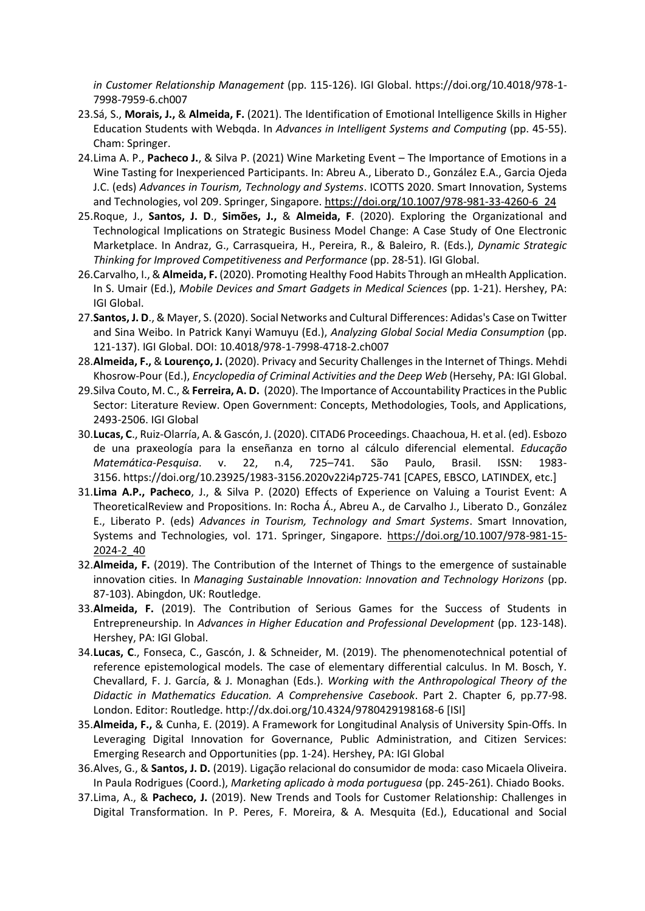*in Customer Relationship Management* (pp. 115-126). IGI Global. https://doi.org/10.4018/978-1- 7998-7959-6.ch007

- 23.Sá, S., **Morais, J.,** & **Almeida, F.** (2021). The Identification of Emotional Intelligence Skills in Higher Education Students with Webqda. In *Advances in Intelligent Systems and Computing* (pp. 45-55). Cham: Springer.
- 24.Lima A. P., **Pacheco J.**, & Silva P. (2021) Wine Marketing Event The Importance of Emotions in a Wine Tasting for Inexperienced Participants. In: Abreu A., Liberato D., González E.A., Garcia Ojeda J.C. (eds) *Advances in Tourism, Technology and Systems*. ICOTTS 2020. Smart Innovation, Systems and Technologies, vol 209. Springer, Singapore. [https://doi.org/10.1007/978-981-33-4260-6\\_24](https://doi.org/10.1007/978-981-33-4260-6_24)
- 25.Roque, J., **Santos, J. D**., **Simões, J.,** & **Almeida, F**. (2020). Exploring the Organizational and Technological Implications on Strategic Business Model Change: A Case Study of One Electronic Marketplace. In Andraz, G., Carrasqueira, H., Pereira, R., & Baleiro, R. (Eds.), *Dynamic Strategic Thinking for Improved Competitiveness and Performance* (pp. 28-51). IGI Global.
- 26.Carvalho, I., & **Almeida, F.** (2020). Promoting Healthy Food Habits Through an mHealth Application. In S. Umair (Ed.), *Mobile Devices and Smart Gadgets in Medical Sciences* (pp. 1-21). Hershey, PA: IGI Global.
- 27.**Santos, J. D**., & Mayer, S. (2020). Social Networks and Cultural Differences: Adidas's Case on Twitter and Sina Weibo. In Patrick Kanyi Wamuyu (Ed.), *Analyzing Global Social Media Consumption* (pp. 121-137). IGI Global. DOI: 10.4018/978-1-7998-4718-2.ch007
- 28.**Almeida, F.,** & **Lourenço, J.** (2020). Privacy and Security Challenges in the Internet of Things. Mehdi Khosrow-Pour (Ed.), *Encyclopedia of Criminal Activities and the Deep Web* (Hersehy, PA: IGI Global.
- 29.Silva Couto, M. C., & **Ferreira, A. D.** (2020). The Importance of Accountability Practices in the Public Sector: Literature Review. Open Government: Concepts, Methodologies, Tools, and Applications, 2493-2506. IGI Global
- 30.**Lucas, C**., Ruiz-Olarría, A. & Gascón, J. (2020). CITAD6 Proceedings. Chaachoua, H. et al. (ed). Esbozo de una praxeología para la enseñanza en torno al cálculo diferencial elemental. *Educação Matemática-Pesquisa*. v. 22, n.4, 725–741. São Paulo, Brasil. ISSN: 1983- 3156. https://doi.org/10.23925/1983-3156.2020v22i4p725-741 [CAPES, EBSCO, LATINDEX, etc.]
- 31.**Lima A.P., Pacheco**, J., & Silva P. (2020) Effects of Experience on Valuing a Tourist Event: A TheoreticalReview and Propositions. In: Rocha Á., Abreu A., de Carvalho J., Liberato D., González E., Liberato P. (eds) *Advances in Tourism, Technology and Smart Systems*. Smart Innovation, Systems and Technologies, vol. 171. Springer, Singapore. [https://doi.org/10.1007/978-981-15-](https://doi.org/10.1007/978-981-15-2024-2_40) [2024-2\\_40](https://doi.org/10.1007/978-981-15-2024-2_40)
- 32.**Almeida, F.** (2019). The Contribution of the Internet of Things to the emergence of sustainable innovation cities. In *Managing Sustainable Innovation: Innovation and Technology Horizons* (pp. 87-103). Abingdon, UK: Routledge.
- 33.**Almeida, F.** (2019). The Contribution of Serious Games for the Success of Students in Entrepreneurship. In *Advances in Higher Education and Professional Development* (pp. 123-148). Hershey, PA: IGI Global.
- 34.**Lucas, C**., Fonseca, C., Gascón, J. & Schneider, M. (2019). The phenomenotechnical potential of reference epistemological models. The case of elementary differential calculus. In M. Bosch, Y. Chevallard, F. J. García, & J. Monaghan (Eds.). *Working with the Anthropological Theory of the Didactic in Mathematics Education. A Comprehensive Casebook*. Part 2. Chapter 6, pp.77-98. London. Editor: Routledge. http://dx.doi.org/10.4324/9780429198168-6 [ISI]
- 35.**Almeida, F.,** & Cunha, E. (2019). A Framework for Longitudinal Analysis of University Spin-Offs. In Leveraging Digital Innovation for Governance, Public Administration, and Citizen Services: Emerging Research and Opportunities (pp. 1-24). Hershey, PA: IGI Global
- 36.Alves, G., & **Santos, J. D.** (2019). Ligação relacional do consumidor de moda: caso Micaela Oliveira. In Paula Rodrigues (Coord.), *Marketing aplicado à moda portuguesa* (pp. 245-261). Chiado Books.
- 37.Lima, A., & **Pacheco, J.** (2019). New Trends and Tools for Customer Relationship: Challenges in Digital Transformation. In P. Peres, F. Moreira, & A. Mesquita (Ed.), Educational and Social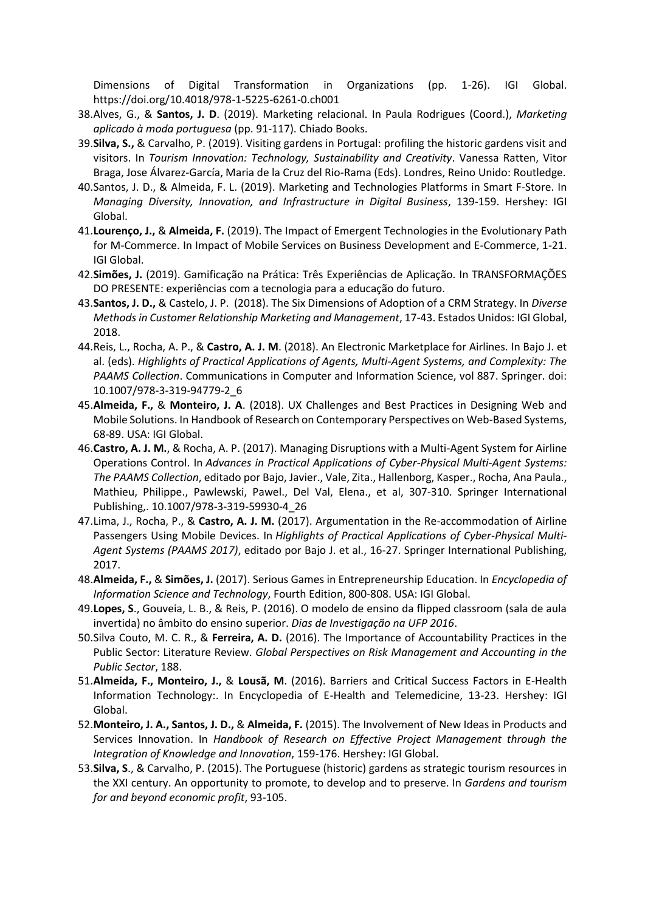Dimensions of Digital Transformation in Organizations (pp. 1-26). IGI Global. https://doi.org/10.4018/978-1-5225-6261-0.ch001

- 38.Alves, G., & **Santos, J. D**. (2019). Marketing relacional. In Paula Rodrigues (Coord.), *Marketing aplicado à moda portuguesa* (pp. 91-117). Chiado Books.
- 39.**Silva, S.,** & Carvalho, P. (2019). Visiting gardens in Portugal: profiling the historic gardens visit and visitors. In *Tourism Innovation: Technology, Sustainability and Creativity*. Vanessa Ratten, Vitor Braga, Jose Álvarez-García, Maria de la Cruz del Rio-Rama (Eds). Londres, Reino Unido: Routledge.
- 40.Santos, J. D., & Almeida, F. L. (2019). Marketing and Technologies Platforms in Smart F-Store. In *Managing Diversity, Innovation, and Infrastructure in Digital Business*, 139-159. Hershey: IGI Global.
- 41.**Lourenço, J.,** & **Almeida, F.** (2019). The Impact of Emergent Technologies in the Evolutionary Path for M-Commerce. In Impact of Mobile Services on Business Development and E-Commerce, 1-21. IGI Global.
- 42.**Simões, J.** (2019). Gamificação na Prática: Três Experiências de Aplicação. In TRANSFORMAÇÕES DO PRESENTE: experiências com a tecnologia para a educação do futuro.
- 43.**Santos, J. D.,** & Castelo, J. P. (2018). The Six Dimensions of Adoption of a CRM Strategy. In *Diverse Methods in Customer Relationship Marketing and Management*, 17-43. Estados Unidos: IGI Global, 2018.
- 44.Reis, L., Rocha, A. P., & **Castro, A. J. M**. (2018). An Electronic Marketplace for Airlines. In Bajo J. et al. (eds). *Highlights of Practical Applications of Agents, Multi-Agent Systems, and Complexity: The PAAMS Collection*. Communications in Computer and Information Science, vol 887. Springer. doi: 10.1007/978-3-319-94779-2\_6
- 45.**Almeida, F.,** & **Monteiro, J. A**. (2018). UX Challenges and Best Practices in Designing Web and Mobile Solutions. In Handbook of Research on Contemporary Perspectives on Web-Based Systems, 68-89. USA: IGI Global.
- 46.**Castro, A. J. M.**, & Rocha, A. P. (2017). Managing Disruptions with a Multi-Agent System for Airline Operations Control. In *Advances in Practical Applications of Cyber-Physical Multi-Agent Systems: The PAAMS Collection*, editado por Bajo, Javier., Vale, Zita., Hallenborg, Kasper., Rocha, Ana Paula., Mathieu, Philippe., Pawlewski, Pawel., Del Val, Elena., et al, 307-310. Springer International Publishing,. 10.1007/978-3-319-59930-4\_26
- 47.Lima, J., Rocha, P., & **Castro, A. J. M.** (2017). Argumentation in the Re-accommodation of Airline Passengers Using Mobile Devices. In *Highlights of Practical Applications of Cyber-Physical Multi-Agent Systems (PAAMS 2017)*, editado por Bajo J. et al., 16-27. Springer International Publishing, 2017.
- 48.**Almeida, F.,** & **Simões, J.** (2017). Serious Games in Entrepreneurship Education. In *Encyclopedia of Information Science and Technology*, Fourth Edition, 800-808. USA: IGI Global.
- 49.**Lopes, S**., Gouveia, L. B., & Reis, P. (2016). O modelo de ensino da flipped classroom (sala de aula invertida) no âmbito do ensino superior. *Dias de Investigação na UFP 2016*.
- 50.Silva Couto, M. C. R., & **Ferreira, A. D.** (2016). The Importance of Accountability Practices in the Public Sector: Literature Review. *Global Perspectives on Risk Management and Accounting in the Public Sector*, 188.
- 51.**Almeida, F., Monteiro, J.,** & **Lousã, M**. (2016). Barriers and Critical Success Factors in E-Health Information Technology:. In Encyclopedia of E-Health and Telemedicine, 13-23. Hershey: IGI Global.
- 52.**Monteiro, J. A., Santos, J. D.,** & **Almeida, F.** (2015). The Involvement of New Ideas in Products and Services Innovation. In *Handbook of Research on Effective Project Management through the Integration of Knowledge and Innovation*, 159-176. Hershey: IGI Global.
- 53.**Silva, S**., & Carvalho, P. (2015). The Portuguese (historic) gardens as strategic tourism resources in the XXI century. An opportunity to promote, to develop and to preserve. In *Gardens and tourism for and beyond economic profit*, 93-105.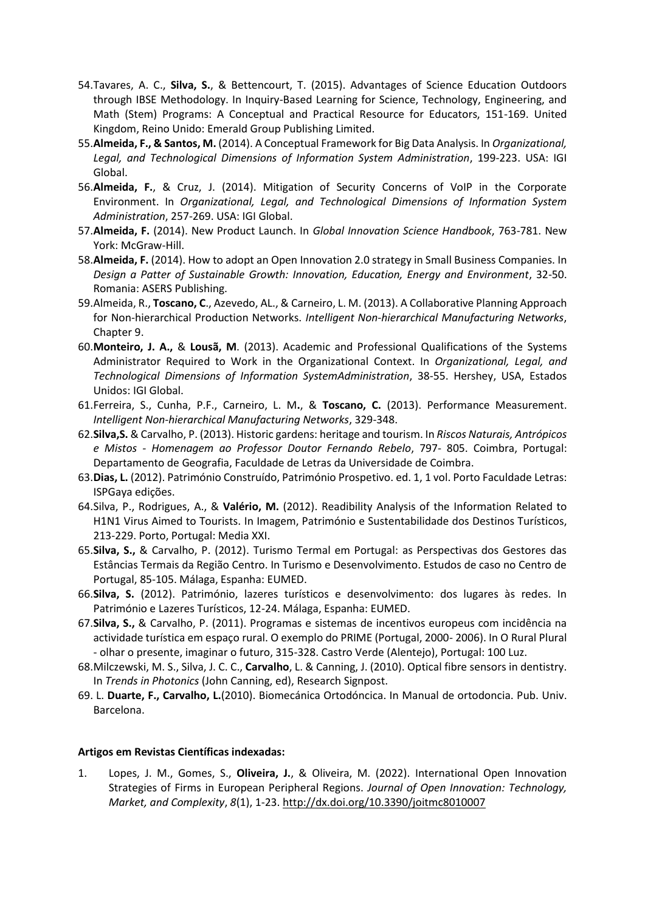- 54.Tavares, A. C., **Silva, S.**, & Bettencourt, T. (2015). Advantages of Science Education Outdoors through IBSE Methodology. In Inquiry-Based Learning for Science, Technology, Engineering, and Math (Stem) Programs: A Conceptual and Practical Resource for Educators, 151-169. United Kingdom, Reino Unido: Emerald Group Publishing Limited.
- 55.**Almeida, F., & Santos, M.** (2014). A Conceptual Framework for Big Data Analysis. In *Organizational, Legal, and Technological Dimensions of Information System Administration*, 199-223. USA: IGI Global.
- 56.**Almeida, F.**, & Cruz, J. (2014). Mitigation of Security Concerns of VoIP in the Corporate Environment. In *Organizational, Legal, and Technological Dimensions of Information System Administration*, 257-269. USA: IGI Global.
- 57.**Almeida, F.** (2014). New Product Launch. In *Global Innovation Science Handbook*, 763-781. New York: McGraw-Hill.
- 58.**Almeida, F.** (2014). How to adopt an Open Innovation 2.0 strategy in Small Business Companies. In *Design a Patter of Sustainable Growth: Innovation, Education, Energy and Environment*, 32-50. Romania: ASERS Publishing.
- 59.Almeida, R., **Toscano, C**., Azevedo, AL., & Carneiro, L. M. (2013). A Collaborative Planning Approach for Non-hierarchical Production Networks. *Intelligent Non‐hierarchical Manufacturing Networks*, Chapter 9.
- 60.**Monteiro, J. A.,** & **Lousã, M**. (2013). Academic and Professional Qualifications of the Systems Administrator Required to Work in the Organizational Context. In *Organizational, Legal, and Technological Dimensions of Information SystemAdministration*, 38-55. Hershey, USA, Estados Unidos: IGI Global.
- 61.Ferreira, S., Cunha, P.F., Carneiro, L. M**.**, & **Toscano, C.** (2013). Performance Measurement. *Intelligent Non-hierarchical Manufacturing Networks*, 329-348.
- 62.**Silva,S.** & Carvalho, P. (2013). Historic gardens: heritage and tourism. In *Riscos Naturais, Antrópicos e Mistos - Homenagem ao Professor Doutor Fernando Rebelo*, 797- 805. Coimbra, Portugal: Departamento de Geografia, Faculdade de Letras da Universidade de Coimbra.
- 63.**Dias, L.** (2012). Património Construído, Património Prospetivo. ed. 1, 1 vol. Porto Faculdade Letras: ISPGaya edições.
- 64.Silva, P., Rodrigues, A., & **Valério, M.** (2012). Readibility Analysis of the Information Related to H1N1 Virus Aimed to Tourists. In Imagem, Património e Sustentabilidade dos Destinos Turísticos, 213-229. Porto, Portugal: Media XXI.
- 65.**Silva, S.,** & Carvalho, P. (2012). Turismo Termal em Portugal: as Perspectivas dos Gestores das Estâncias Termais da Região Centro. In Turismo e Desenvolvimento. Estudos de caso no Centro de Portugal, 85-105. Málaga, Espanha: EUMED.
- 66.**Silva, S.** (2012). Património, lazeres turísticos e desenvolvimento: dos lugares às redes. In Património e Lazeres Turísticos, 12-24. Málaga, Espanha: EUMED.
- 67.**Silva, S.,** & Carvalho, P. (2011). Programas e sistemas de incentivos europeus com incidência na actividade turística em espaço rural. O exemplo do PRIME (Portugal, 2000- 2006). In O Rural Plural - olhar o presente, imaginar o futuro, 315-328. Castro Verde (Alentejo), Portugal: 100 Luz.
- 68.Milczewski, M. S., Silva, J. C. C., **Carvalho**, L. & Canning, J. (2010). Optical fibre sensors in dentistry. In *Trends in Photonics* (John Canning, ed), Research Signpost.
- 69. L. **Duarte, F., Carvalho, L.**(2010). Biomecánica Ortodóncica. In Manual de ortodoncia. Pub. Univ. Barcelona.

## **Artigos em Revistas Científicas indexadas:**

1. Lopes, J. M., Gomes, S., **Oliveira, J.**, & Oliveira, M. (2022). International Open Innovation Strategies of Firms in European Peripheral Regions. *Journal of Open Innovation: Technology, Market, and Complexity*, *8*(1), 1-23. http://dx.doi.org/10.3390/joitmc8010007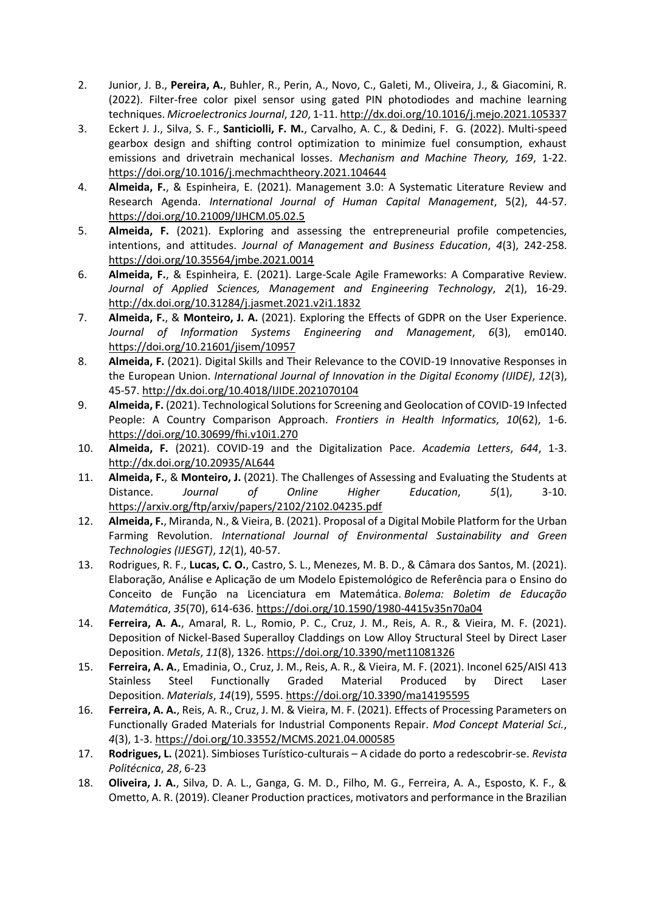- 2. Junior, J. B., **Pereira, A.**, Buhler, R., Perin, A., Novo, C., Galeti, M., Oliveira, J., & Giacomini, R. (2022). Filter-free color pixel sensor using gated PIN photodiodes and machine learning techniques. *Microelectronics Journal*, *120*, 1-11. http://dx.doi.org/10.1016/j.mejo.2021.105337
- 3. Eckert J. J., Silva, S. F., **Santiciolli, F. M.**, Carvalho, A. C., & Dedini, F. G. (2022). Multi-speed gearbox design and shifting control optimization to minimize fuel consumption, exhaust emissions and drivetrain mechanical losses. *Mechanism and Machine Theory, 169*, 1-22. https://doi.org/10.1016/j.mechmachtheory.2021.104644
- 4. **Almeida, F.**, & Espinheira, E. (2021). Management 3.0: A Systematic Literature Review and Research Agenda. *International Journal of Human Capital Management*, 5(2), 44-57. https://doi.org/10.21009/IJHCM.05.02.5
- 5. **Almeida, F.** (2021). Exploring and assessing the entrepreneurial profile competencies, intentions, and attitudes. *Journal of Management and Business Education*, *4*(3), 242-258. https://doi.org/10.35564/jmbe.2021.0014
- 6. **Almeida, F.**, & Espinheira, E. (2021). Large-Scale Agile Frameworks: A Comparative Review. *Journal of Applied Sciences, Management and Engineering Technology*, *2*(1), 16-29. http://dx.doi.org/10.31284/j.jasmet.2021.v2i1.1832
- 7. **Almeida, F.**, & **Monteiro, J. A.** (2021). Exploring the Effects of GDPR on the User Experience. *Journal of Information Systems Engineering and Management*, *6*(3), em0140. https://doi.org/10.21601/jisem/10957
- 8. **Almeida, F.** (2021). Digital Skills and Their Relevance to the COVID-19 Innovative Responses in the European Union. *International Journal of Innovation in the Digital Economy (IJIDE)*, *12*(3), 45-57. http://dx.doi.org/10.4018/IJIDE.2021070104
- 9. **Almeida, F.** (2021). Technological Solutions for Screening and Geolocation of COVID-19 Infected People: A Country Comparison Approach. *Frontiers in Health Informatics*, *10*(62), 1-6. https://doi.org/10.30699/fhi.v10i1.270
- 10. **Almeida, F.** (2021). COVID-19 and the Digitalization Pace. *Academia Letters*, *644*, 1-3. http://dx.doi.org/10.20935/AL644
- 11. **Almeida, F.**, & **Monteiro, J.** (2021). The Challenges of Assessing and Evaluating the Students at Distance. *Journal of Online Higher Education*, *5*(1), 3-10. https://arxiv.org/ftp/arxiv/papers/2102/2102.04235.pdf
- 12. **Almeida, F.**, Miranda, N., & Vieira, B. (2021). Proposal of a Digital Mobile Platform for the Urban Farming Revolution. *International Journal of Environmental Sustainability and Green Technologies (IJESGT)*, *12*(1), 40-57.
- 13. Rodrigues, R. F., **Lucas, C. O.**, Castro, S. L., Menezes, M. B. D., & Câmara dos Santos, M. (2021). Elaboração, Análise e Aplicação de um Modelo Epistemológico de Referência para o Ensino do Conceito de Função na Licenciatura em Matemática. *Bolema: Boletim de Educação Matemática*, *35*(70), 614-636. https://doi.org/10.1590/1980-4415v35n70a04
- 14. **Ferreira, A. A.**, Amaral, R. L., Romio, P. C., Cruz, J. M., Reis, A. R., & Vieira, M. F. (2021). Deposition of Nickel-Based Superalloy Claddings on Low Alloy Structural Steel by Direct Laser Deposition. *Metals*, *11*(8), 1326. https://doi.org/10.3390/met11081326
- 15. **Ferreira, A. A.**, Emadinia, O., Cruz, J. M., Reis, A. R., & Vieira, M. F. (2021). Inconel 625/AISI 413 Stainless Steel Functionally Graded Material Produced by Direct Laser Deposition. *Materials*, *14*(19), 5595. https://doi.org/10.3390/ma14195595
- 16. **Ferreira, A. A.**, Reis, A. R., Cruz, J. M. & Vieira, M. F. (2021). Effects of Processing Parameters on Functionally Graded Materials for Industrial Components Repair. *Mod Concept Material Sci.*, *4*(3), 1-3. https://doi.org/10.33552/MCMS.2021.04.000585
- 17. **Rodrigues, L.** (2021). Simbioses Turístico-culturais A cidade do porto a redescobrir-se. *Revista Politécnica*, *28*, 6-23
- 18. **Oliveira, J. A.**, Silva, D. A. L., Ganga, G. M. D., Filho, M. G., Ferreira, A. A., Esposto, K. F., & Ometto, A. R. (2019). Cleaner Production practices, motivators and performance in the Brazilian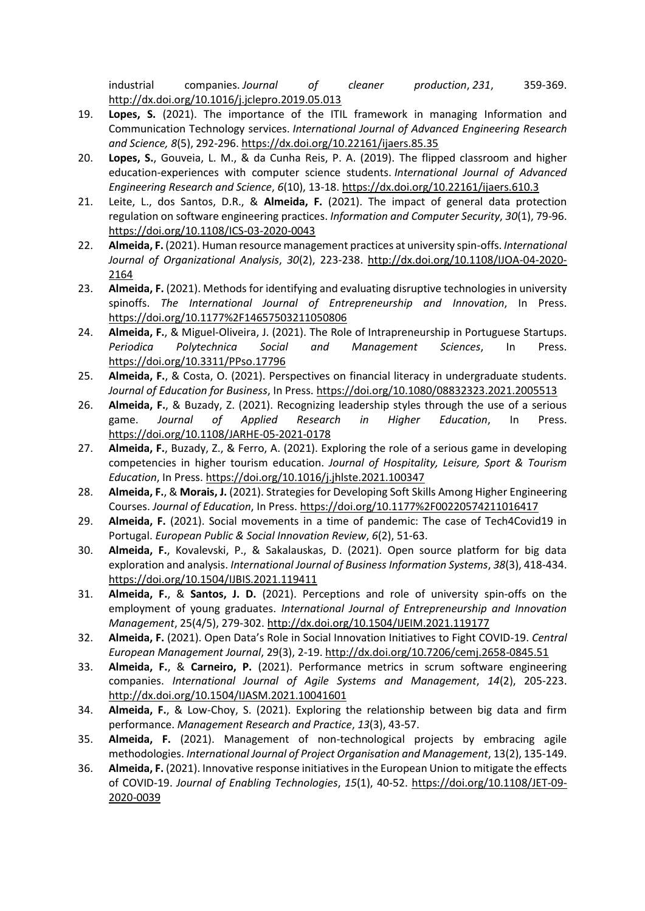industrial companies. *Journal of cleaner production*, *231*, 359-369. http://dx.doi.org/10.1016/j.jclepro.2019.05.013

- 19. **Lopes, S.** (2021). The importance of the ITIL framework in managing Information and Communication Technology services. *International Journal of Advanced Engineering Research and Science, 8*(5), 292-296. https://dx.doi.org/10.22161/ijaers.85.35
- 20. **Lopes, S.**, Gouveia, L. M., & da Cunha Reis, P. A. (2019). The flipped classroom and higher education-experiences with computer science students. *International Journal of Advanced Engineering Research and Science*, *6*(10), 13-18. https://dx.doi.org/10.22161/ijaers.610.3
- 21. Leite, L., dos Santos, D.R., & **Almeida, F.** (2021). The impact of general data protection regulation on software engineering practices. *Information and Computer Security*, *30*(1), 79-96. https://doi.org/10.1108/ICS-03-2020-0043
- 22. **Almeida, F.** (2021). Human resource management practices at university spin-offs. *International Journal of Organizational Analysis*, *30*(2), 223-238. http://dx.doi.org/10.1108/IJOA-04-2020- 2164
- 23. **Almeida, F.** (2021). Methods for identifying and evaluating disruptive technologies in university spinoffs. *The International Journal of Entrepreneurship and Innovation*, In Press. https://doi.org/10.1177%2F14657503211050806
- 24. **Almeida, F.**, & Miguel-Oliveira, J. (2021). The Role of Intrapreneurship in Portuguese Startups. *Periodica Polytechnica Social and Management Sciences*, In Press. https://doi.org/10.3311/PPso.17796
- 25. **Almeida, F.**, & Costa, O. (2021). Perspectives on financial literacy in undergraduate students. *Journal of Education for Business*, In Press. https://doi.org/10.1080/08832323.2021.2005513
- 26. **Almeida, F.**, & Buzady, Z. (2021). Recognizing leadership styles through the use of a serious game. *Journal of Applied Research in Higher Education*, In Press. https://doi.org/10.1108/JARHE-05-2021-0178
- 27. **Almeida, F.**, Buzady, Z., & Ferro, A. (2021). Exploring the role of a serious game in developing competencies in higher tourism education. *Journal of Hospitality, Leisure, Sport & Tourism Education*, In Press. https://doi.org/10.1016/j.jhlste.2021.100347
- 28. **Almeida, F.**, & **Morais, J.** (2021). Strategies for Developing Soft Skills Among Higher Engineering Courses. *Journal of Education*, In Press. https://doi.org/10.1177%2F00220574211016417
- 29. **Almeida, F.** (2021). Social movements in a time of pandemic: The case of Tech4Covid19 in Portugal. *European Public & Social Innovation Review*, *6*(2), 51-63.
- 30. **Almeida, F.**, Kovalevski, P., & Sakalauskas, D. (2021). Open source platform for big data exploration and analysis. *International Journal of Business Information Systems*, *38*(3), 418-434. https://doi.org/10.1504/IJBIS.2021.119411
- 31. **Almeida, F.**, & **Santos, J. D.** (2021). Perceptions and role of university spin-offs on the employment of young graduates. *International Journal of Entrepreneurship and Innovation Management*, 25(4/5), 279-302. http://dx.doi.org/10.1504/IJEIM.2021.119177
- 32. **Almeida, F.** (2021). Open Data's Role in Social Innovation Initiatives to Fight COVID-19. *Central European Management Journal*, 29(3), 2-19. http://dx.doi.org/10.7206/cemj.2658-0845.51
- 33. **Almeida, F.**, & **Carneiro, P.** (2021). Performance metrics in scrum software engineering companies. *International Journal of Agile Systems and Management*, *14*(2), 205-223. http://dx.doi.org/10.1504/IJASM.2021.10041601
- 34. **Almeida, F.**, & Low-Choy, S. (2021). Exploring the relationship between big data and firm performance. *Management Research and Practice*, *13*(3), 43-57.
- 35. **Almeida, F.** (2021). Management of non-technological projects by embracing agile methodologies. *International Journal of Project Organisation and Management*, 13(2), 135-149.
- 36. **Almeida, F.** (2021). Innovative response initiatives in the European Union to mitigate the effects of COVID-19. *Journal of Enabling Technologies*, *15*(1), 40-52. https://doi.org/10.1108/JET-09- 2020-0039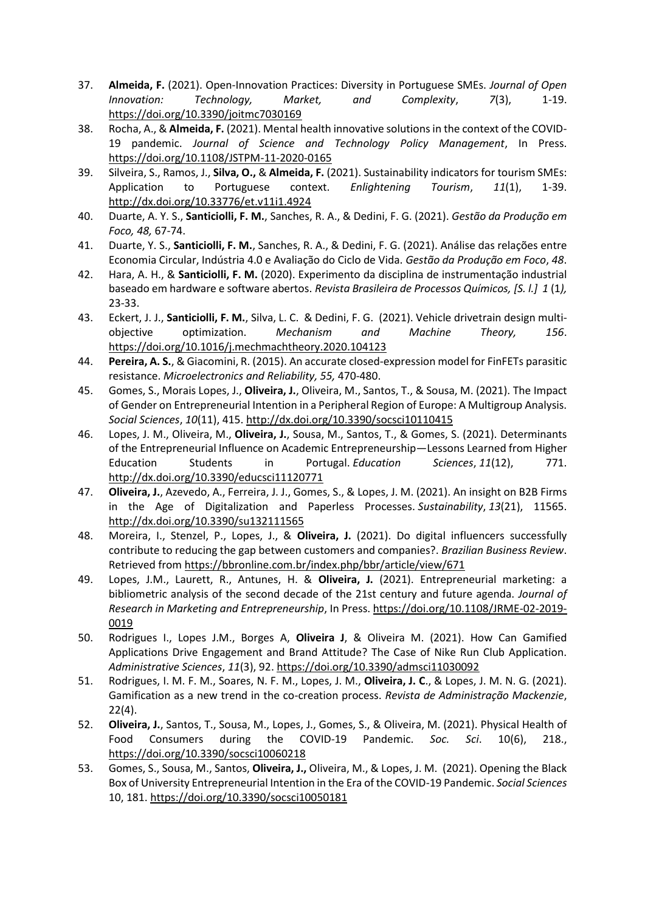- 37. **Almeida, F.** (2021). Open-Innovation Practices: Diversity in Portuguese SMEs. *Journal of Open Innovation: Technology, Market, and Complexity*, *7*(3), 1-19. https://doi.org/10.3390/joitmc7030169
- 38. Rocha, A., & **Almeida, F.** (2021). Mental health innovative solutions in the context of the COVID-19 pandemic. *Journal of Science and Technology Policy Management*, In Press. https://doi.org/10.1108/JSTPM-11-2020-0165
- 39. Silveira, S., Ramos, J., **Silva, O.,** & **Almeida, F.** (2021). Sustainability indicators for tourism SMEs: Application to Portuguese context. *Enlightening Tourism*, *11*(1), 1-39. http://dx.doi.org/10.33776/et.v11i1.4924
- 40. Duarte, A. Y. S., **Santiciolli, F. M.**, Sanches, R. A., & Dedini, F. G. (2021). *Gestão da Produção em Foco, 48,* 67-74.
- 41. Duarte, Y. S., **Santiciolli, F. M.**, Sanches, R. A., & Dedini, F. G. (2021). Análise das relações entre Economia Circular, Indústria 4.0 e Avaliação do Ciclo de Vida. *Gestão da Produção em Foco*, *48*.
- 42. Hara, A. H., & **Santiciolli, F. M.** (2020). Experimento da disciplina de instrumentação industrial baseado em hardware e software abertos. *Revista Brasileira de Processos Químicos, [S. l.] 1* (1*),* 23-33.
- 43. Eckert, J. J., **Santiciolli, F. M.**, Silva, L. C. & Dedini, F. G. (2021). Vehicle drivetrain design multiobjective optimization. *Mechanism and Machine Theory, 156*. https://doi.org/10.1016/j.mechmachtheory.2020.104123
- 44. **Pereira, A. S.**, & Giacomini, R. (2015). An accurate closed-expression model for FinFETs parasitic resistance. *Microelectronics and Reliability, 55,* 470-480.
- 45. Gomes, S., Morais Lopes, J., **Oliveira, J.**, Oliveira, M., Santos, T., & Sousa, M. (2021). The Impact of Gender on Entrepreneurial Intention in a Peripheral Region of Europe: A Multigroup Analysis. *Social Sciences*, *10*(11), 415. http://dx.doi.org/10.3390/socsci10110415
- 46. Lopes, J. M., Oliveira, M., **Oliveira, J.**, Sousa, M., Santos, T., & Gomes, S. (2021). Determinants of the Entrepreneurial Influence on Academic Entrepreneurship—Lessons Learned from Higher Education Students in Portugal. *Education Sciences*, *11*(12), 771. http://dx.doi.org/10.3390/educsci11120771
- 47. **Oliveira, J.**, Azevedo, A., Ferreira, J. J., Gomes, S., & Lopes, J. M. (2021). An insight on B2B Firms in the Age of Digitalization and Paperless Processes. *Sustainability*, *13*(21), 11565. http://dx.doi.org/10.3390/su132111565
- 48. Moreira, I., Stenzel, P., Lopes, J., & **Oliveira, J.** (2021). Do digital influencers successfully contribute to reducing the gap between customers and companies?. *Brazilian Business Review*. Retrieved from https://bbronline.com.br/index.php/bbr/article/view/671
- 49. Lopes, J.M., Laurett, R., Antunes, H. & **Oliveira, J.** (2021). Entrepreneurial marketing: a bibliometric analysis of the second decade of the 21st century and future agenda. *Journal of Research in Marketing and Entrepreneurship*, In Press. https://doi.org/10.1108/JRME-02-2019- 0019
- 50. Rodrigues I., Lopes J.M., Borges A, **Oliveira J**, & Oliveira M. (2021). How Can Gamified Applications Drive Engagement and Brand Attitude? The Case of Nike Run Club Application. *Administrative Sciences*, *11*(3), 92. https://doi.org/10.3390/admsci11030092
- 51. Rodrigues, I. M. F. M., Soares, N. F. M., Lopes, J. M., **Oliveira, J. C**., & Lopes, J. M. N. G. (2021). Gamification as a new trend in the co-creation process. *Revista de Administração Mackenzie*, 22(4).
- 52. **Oliveira, J.**, Santos, T., Sousa, M., Lopes, J., Gomes, S., & Oliveira, M. (2021). Physical Health of Food Consumers during the COVID-19 Pandemic. *Soc. Sci*. 10(6), 218., https://doi.org/10.3390/socsci10060218
- 53. Gomes, S., Sousa, M., Santos, **Oliveira, J.,** Oliveira, M., & Lopes, J. M. (2021). Opening the Black Box of University Entrepreneurial Intention in the Era of the COVID-19 Pandemic. *Social Sciences* 10, 181. https://doi.org/10.3390/socsci10050181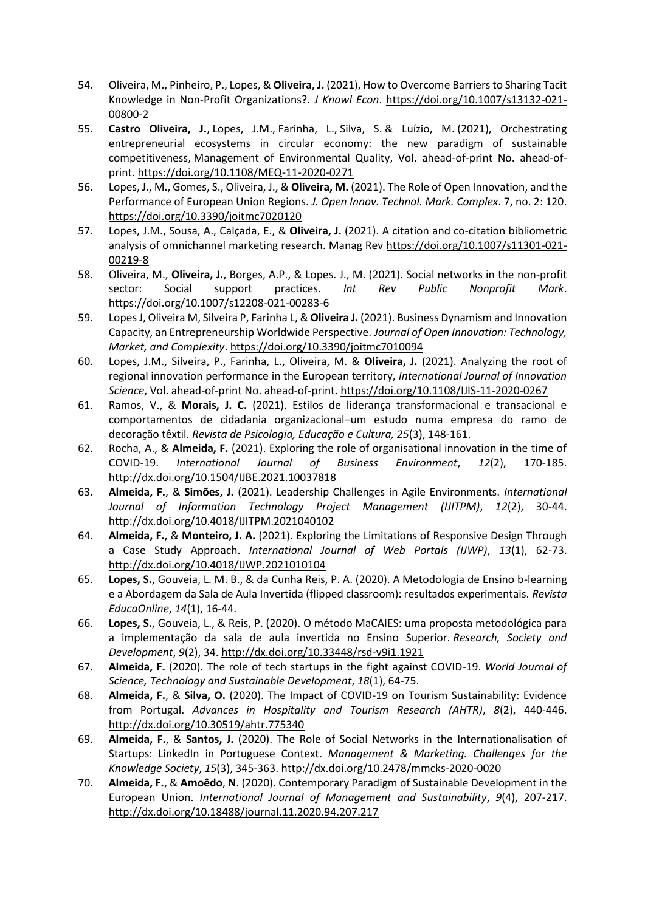- 54. Oliveira, M., Pinheiro, P., Lopes, & **Oliveira, J.** (2021), How to Overcome Barriers to Sharing Tacit Knowledge in Non-Profit Organizations?. *J Knowl Econ*. https://doi.org/10.1007/s13132-021- 00800-2
- 55. **Castro Oliveira, J.**, Lopes, J.M., Farinha, L., Silva, S. & Luízio, M. (2021), Orchestrating entrepreneurial ecosystems in circular economy: the new paradigm of sustainable competitiveness, Management of Environmental Quality, Vol. ahead-of-print No. ahead-ofprint. https://doi.org/10.1108/MEQ-11-2020-0271
- 56. Lopes, J., M., Gomes, S., Oliveira, J., & **Oliveira, M.** (2021). The Role of Open Innovation, and the Performance of European Union Regions. *J. Open Innov. Technol. Mark. Complex*. 7, no. 2: 120. https://doi.org/10.3390/joitmc7020120
- 57. Lopes, J.M., Sousa, A., Calçada, E., & **Oliveira, J.** (2021). A citation and co-citation bibliometric analysis of omnichannel marketing research. Manag Rev https://doi.org/10.1007/s11301-021- 00219-8
- 58. Oliveira, M., **Oliveira, J.**, Borges, A.P., & Lopes. J., M. (2021). Social networks in the non-profit sector: Social support practices. *Int Rev Public Nonprofit Mark*. https://doi.org/10.1007/s12208-021-00283-6
- 59. Lopes J, Oliveira M, Silveira P, Farinha L, & **Oliveira J.** (2021). Business Dynamism and Innovation Capacity, an Entrepreneurship Worldwide Perspective. *Journal of Open Innovation: Technology, Market, and Complexity*. https://doi.org/10.3390/joitmc7010094
- 60. Lopes, J.M., Silveira, P., Farinha, L., Oliveira, M. & **Oliveira, J.** (2021). Analyzing the root of regional innovation performance in the European territory, *International Journal of Innovation Science*, Vol. ahead-of-print No. ahead-of-print. https://doi.org/10.1108/IJIS-11-2020-0267
- 61. Ramos, V., & **Morais, J. C.** (2021). Estilos de liderança transformacional e transacional e comportamentos de cidadania organizacional–um estudo numa empresa do ramo de decoração têxtil. *Revista de Psicologia, Educação e Cultura, 25*(3), 148-161.
- 62. Rocha, A., & **Almeida, F.** (2021). Exploring the role of organisational innovation in the time of COVID-19. *International Journal of Business Environment*, *12*(2), 170-185. http://dx.doi.org/10.1504/IJBE.2021.10037818
- 63. **Almeida, F.**, & **Simões, J.** (2021). Leadership Challenges in Agile Environments. *International Journal of Information Technology Project Management (IJITPM)*, *12*(2), 30-44. http://dx.doi.org/10.4018/IJITPM.2021040102
- 64. **Almeida, F.**, & **Monteiro, J. A.** (2021). Exploring the Limitations of Responsive Design Through a Case Study Approach. *International Journal of Web Portals (IJWP)*, *13*(1), 62-73. http://dx.doi.org/10.4018/IJWP.2021010104
- 65. **Lopes, S.**, Gouveia, L. M. B., & da Cunha Reis, P. A. (2020). A Metodologia de Ensino b-learning e a Abordagem da Sala de Aula Invertida (flipped classroom): resultados experimentais. *Revista EducaOnline*, *14*(1), 16-44.
- 66. **Lopes, S.**, Gouveia, L., & Reis, P. (2020). O método MaCAIES: uma proposta metodológica para a implementação da sala de aula invertida no Ensino Superior. *Research, Society and Development*, *9*(2), 34. http://dx.doi.org/10.33448/rsd-v9i1.1921
- 67. **Almeida, F.** (2020). The role of tech startups in the fight against COVID-19. *World Journal of Science, Technology and Sustainable Development*, *18*(1), 64-75.
- 68. **Almeida, F.**, & **Silva, O.** (2020). The Impact of COVID-19 on Tourism Sustainability: Evidence from Portugal. *Advances in Hospitality and Tourism Research (AHTR)*, *8*(2), 440-446. http://dx.doi.org/10.30519/ahtr.775340
- 69. **Almeida, F.**, & **Santos, J.** (2020). The Role of Social Networks in the Internationalisation of Startups: LinkedIn in Portuguese Context. *Management & Marketing. Challenges for the Knowledge Society*, *15*(3), 345-363. http://dx.doi.org/10.2478/mmcks-2020-0020
- 70. **Almeida, F.**, & **Amoêdo**, **N**. (2020). Contemporary Paradigm of Sustainable Development in the European Union. *International Journal of Management and Sustainability*, *9*(4), 207-217. http://dx.doi.org/10.18488/journal.11.2020.94.207.217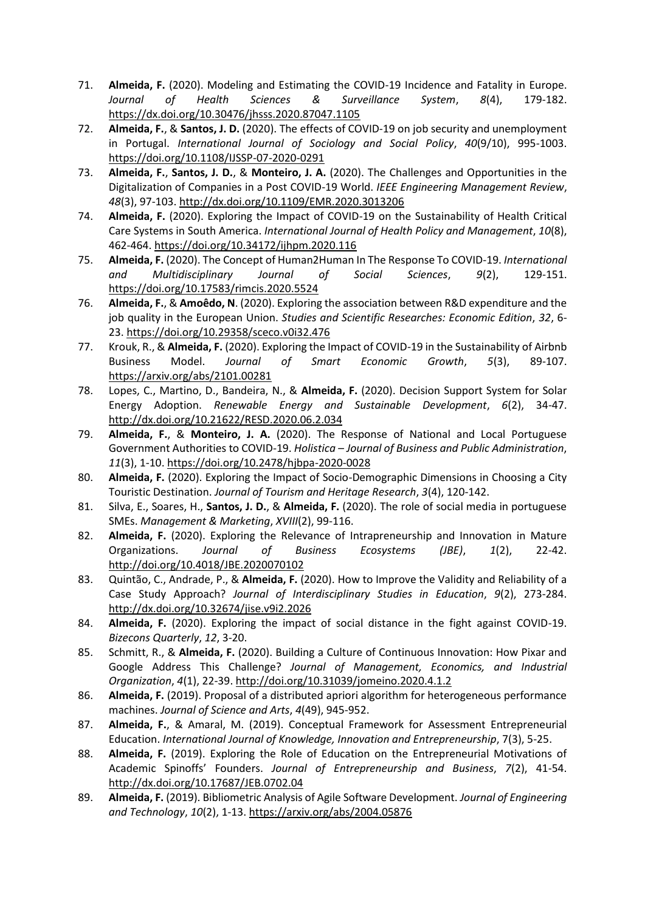- 71. **Almeida, F.** (2020). Modeling and Estimating the COVID-19 Incidence and Fatality in Europe. *Journal of Health Sciences & Surveillance System*, *8*(4), 179-182. https://dx.doi.org/10.30476/jhsss.2020.87047.1105
- 72. **Almeida, F.**, & **Santos, J. D.** (2020). The effects of COVID-19 on job security and unemployment in Portugal. *International Journal of Sociology and Social Policy*, *40*(9/10), 995-1003. https://doi.org/10.1108/IJSSP-07-2020-0291
- 73. **Almeida, F.**, **Santos, J. D.**, & **Monteiro, J. A.** (2020). The Challenges and Opportunities in the Digitalization of Companies in a Post COVID-19 World. *IEEE Engineering Management Review*, *48*(3), 97-103. http://dx.doi.org/10.1109/EMR.2020.3013206
- 74. **Almeida, F.** (2020). Exploring the Impact of COVID-19 on the Sustainability of Health Critical Care Systems in South America. *International Journal of Health Policy and Management*, *10*(8), 462-464. https://doi.org/10.34172/ijhpm.2020.116
- 75. **Almeida, F.** (2020). The Concept of Human2Human In The Response To COVID-19. *International and Multidisciplinary Journal of Social Sciences*, *9*(2), 129-151. https://doi.org/10.17583/rimcis.2020.5524
- 76. **Almeida, F.**, & **Amoêdo, N**. (2020). Exploring the association between R&D expenditure and the job quality in the European Union. *Studies and Scientific Researches: Economic Edition*, *32*, 6- 23. https://doi.org/10.29358/sceco.v0i32.476
- 77. Krouk, R., & **Almeida, F.** (2020). Exploring the Impact of COVID-19 in the Sustainability of Airbnb Business Model. *Journal of Smart Economic Growth*, *5*(3), 89-107. https://arxiv.org/abs/2101.00281
- 78. Lopes, C., Martino, D., Bandeira, N., & **Almeida, F.** (2020). Decision Support System for Solar Energy Adoption. *Renewable Energy and Sustainable Development*, *6*(2), 34-47. http://dx.doi.org/10.21622/RESD.2020.06.2.034
- 79. **Almeida, F.**, & **Monteiro, J. A.** (2020). The Response of National and Local Portuguese Government Authorities to COVID-19. *Holistica – Journal of Business and Public Administration*, *11*(3), 1-10. https://doi.org/10.2478/hjbpa-2020-0028
- 80. **Almeida, F.** (2020). Exploring the Impact of Socio-Demographic Dimensions in Choosing a City Touristic Destination. *Journal of Tourism and Heritage Research*, *3*(4), 120-142.
- 81. Silva, E., Soares, H., **Santos, J. D.**, & **Almeida, F.** (2020). The role of social media in portuguese SMEs. *Management & Marketing*, *XVIII*(2), 99-116.
- 82. **Almeida, F.** (2020). Exploring the Relevance of Intrapreneurship and Innovation in Mature Organizations. *Journal of Business Ecosystems (JBE)*, *1*(2), 22-42. http://doi.org/10.4018/JBE.2020070102
- 83. Quintão, C., Andrade, P., & **Almeida, F.** (2020). How to Improve the Validity and Reliability of a Case Study Approach? *Journal of Interdisciplinary Studies in Education*, *9*(2), 273-284. http://dx.doi.org/10.32674/jise.v9i2.2026
- 84. **Almeida, F.** (2020). Exploring the impact of social distance in the fight against COVID-19. *Bizecons Quarterly*, *12*, 3-20.
- 85. Schmitt, R., & **Almeida, F.** (2020). Building a Culture of Continuous Innovation: How Pixar and Google Address This Challenge? *Journal of Management, Economics, and Industrial Organization*, *4*(1), 22-39. http://doi.org/10.31039/jomeino.2020.4.1.2
- 86. **Almeida, F.** (2019). Proposal of a distributed apriori algorithm for heterogeneous performance machines. *Journal of Science and Arts*, *4*(49), 945-952.
- 87. **Almeida, F.**, & Amaral, M. (2019). Conceptual Framework for Assessment Entrepreneurial Education. *International Journal of Knowledge, Innovation and Entrepreneurship*, 7(3), 5-25.
- 88. **Almeida, F.** (2019). Exploring the Role of Education on the Entrepreneurial Motivations of Academic Spinoffs' Founders. *Journal of Entrepreneurship and Business*, *7*(2), 41-54. http://dx.doi.org/10.17687/JEB.0702.04
- 89. **Almeida, F.** (2019). Bibliometric Analysis of Agile Software Development. *Journal of Engineering and Technology*, *10*(2), 1-13. https://arxiv.org/abs/2004.05876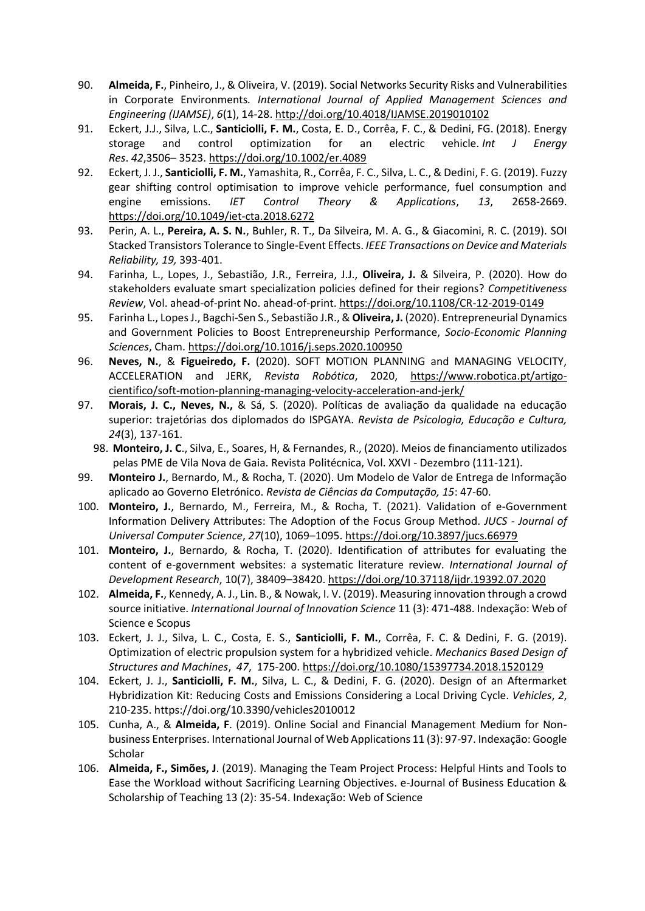- 90. **Almeida, F.**, Pinheiro, J., & Oliveira, V. (2019). Social Networks Security Risks and Vulnerabilities in Corporate Environments*. International Journal of Applied Management Sciences and Engineering (IJAMSE)*, *6*(1), 14-28. http://doi.org/10.4018/IJAMSE.2019010102
- 91. Eckert, J.J., Silva, L.C., **Santiciolli, F. M.**, Costa, E. D., Corrêa, F. C., & Dedini, FG. (2018). Energy storage and control optimization for an electric vehicle. *Int J Energy Res*. *42*,3506– 3523. https://doi.org/10.1002/er.4089
- 92. Eckert, J. J., **Santiciolli, F. M.**, Yamashita, R., Corrêa, F. C., Silva, L. C., & Dedini, F. G. (2019). Fuzzy gear shifting control optimisation to improve vehicle performance, fuel consumption and engine emissions. *IET Control Theory & Applications*, *13*, 2658-2669. https://doi.org/10.1049/iet-cta.2018.6272
- 93. Perin, A. L., **Pereira, A. S. N.**, Buhler, R. T., Da Silveira, M. A. G., & Giacomini, R. C. (2019). SOI Stacked Transistors Tolerance to Single-Event Effects. *IEEE Transactions on Device and Materials Reliability, 19,* 393-401.
- 94. Farinha, L., Lopes, J., Sebastião, J.R., Ferreira, J.J., **Oliveira, J.** & Silveira, P. (2020). How do stakeholders evaluate smart specialization policies defined for their regions? *Competitiveness Review*, Vol. ahead-of-print No. ahead-of-print. https://doi.org/10.1108/CR-12-2019-0149
- 95. Farinha L., Lopes J., Bagchi-Sen S., Sebastião J.R., & **Oliveira, J.** (2020). Entrepreneurial Dynamics and Government Policies to Boost Entrepreneurship Performance, *Socio-Economic Planning Sciences*, Cham. https://doi.org/10.1016/j.seps.2020.100950
- 96. **Neves, N.**, & **Figueiredo, F.** (2020). SOFT MOTION PLANNING and MANAGING VELOCITY, ACCELERATION and JERK, *Revista Robótica*, 2020, https://www.robotica.pt/artigocientifico/soft-motion-planning-managing-velocity-acceleration-and-jerk/
- 97. **Morais, J. C., Neves, N.,** & Sá, S. (2020). Políticas de avaliação da qualidade na educação superior: trajetórias dos diplomados do ISPGAYA. *Revista de Psicologia, Educação e Cultura, 24*(3), 137-161.
	- 98. **Monteiro, J. C**., Silva, E., Soares, H, & Fernandes, R., (2020). Meios de financiamento utilizados pelas PME de Vila Nova de Gaia. Revista Politécnica, Vol. XXVI - Dezembro (111-121).
- 99. **Monteiro J.**, Bernardo, M., & Rocha, T. (2020). Um Modelo de Valor de Entrega de Informação aplicado ao Governo Eletrónico. *Revista de Ciências da Computação, 15*: 47-60.
- 100. **Monteiro, J.**, Bernardo, M., Ferreira, M., & Rocha, T. (2021). Validation of e-Government Information Delivery Attributes: The Adoption of the Focus Group Method. *JUCS - Journal of Universal Computer Science*, *27*(10), 1069–1095. https://doi.org/10.3897/jucs.66979
- 101. **Monteiro, J.**, Bernardo, & Rocha, T. (2020). Identification of attributes for evaluating the content of e-government websites: a systematic literature review. *International Journal of Development Research*, 10(7), 38409–38420. https://doi.org/10.37118/ijdr.19392.07.2020
- 102. **Almeida, F.**, Kennedy, A. J., Lin. B., & Nowak, I. V. (2019). Measuring innovation through a crowd source initiative. *International Journal of Innovation Science* 11 (3): 471-488. Indexação: Web of Science e Scopus
- 103. Eckert, J. J., Silva, L. C., Costa, E. S., **Santiciolli, F. M.**, Corrêa, F. C. & Dedini, F. G. (2019). Optimization of electric propulsion system for a hybridized vehicle. *Mechanics Based Design of Structures and Machines*, *47*, 175-200. https://doi.org/10.1080/15397734.2018.1520129
- 104. Eckert, J. J., **Santiciolli, F. M.**, Silva, L. C., & Dedini, F. G. (2020). Design of an Aftermarket Hybridization Kit: Reducing Costs and Emissions Considering a Local Driving Cycle. *Vehicles*, *2*, 210-235. https://doi.org/10.3390/vehicles2010012
- 105. Cunha, A., & **Almeida, F**. (2019). Online Social and Financial Management Medium for Nonbusiness Enterprises. International Journal of Web Applications 11 (3): 97-97. Indexação: Google **Scholar**
- 106. **Almeida, F., Simões, J**. (2019). Managing the Team Project Process: Helpful Hints and Tools to Ease the Workload without Sacrificing Learning Objectives. e-Journal of Business Education & Scholarship of Teaching 13 (2): 35-54. Indexação: Web of Science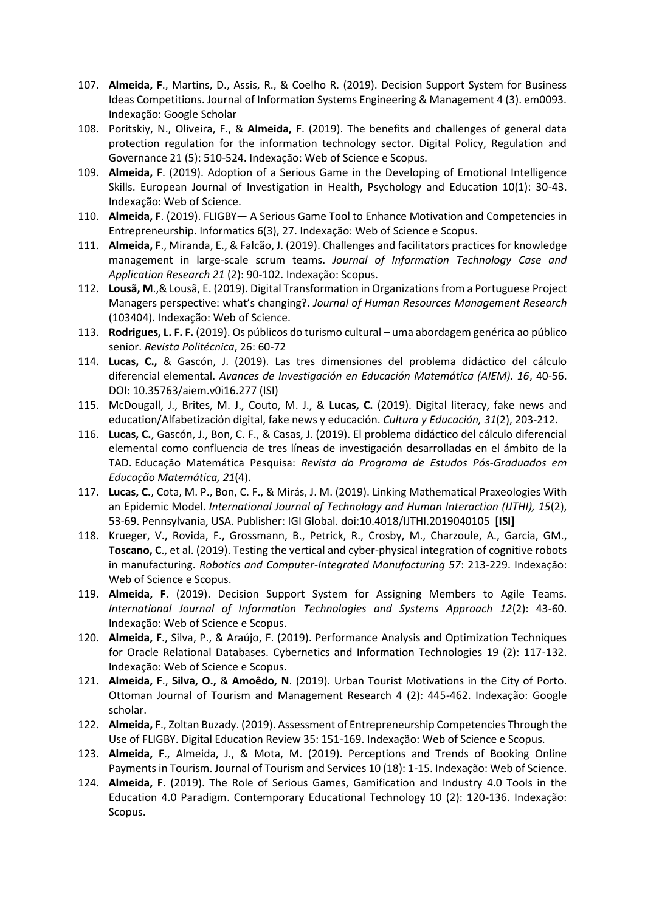- 107. **Almeida, F**., Martins, D., Assis, R., & Coelho R. (2019). Decision Support System for Business Ideas Competitions. Journal of Information Systems Engineering & Management 4 (3). em0093. Indexação: Google Scholar
- 108. Poritskiy, N., Oliveira, F., & **Almeida, F**. (2019). The benefits and challenges of general data protection regulation for the information technology sector. Digital Policy, Regulation and Governance 21 (5): 510-524. Indexação: Web of Science e Scopus.
- 109. **Almeida, F**. (2019). Adoption of a Serious Game in the Developing of Emotional Intelligence Skills. European Journal of Investigation in Health, Psychology and Education 10(1): 30-43. Indexação: Web of Science.
- 110. **Almeida, F**. (2019). FLIGBY— A Serious Game Tool to Enhance Motivation and Competencies in Entrepreneurship. Informatics 6(3), 27. Indexação: Web of Science e Scopus.
- 111. **Almeida, F**., Miranda, E., & Falcão, J. (2019). Challenges and facilitators practices for knowledge management in large-scale scrum teams. *Journal of Information Technology Case and Application Research 21* (2): 90-102. Indexação: Scopus.
- 112. **Lousã, M**.,& Lousã, E. (2019). Digital Transformation in Organizations from a Portuguese Project Managers perspective: what's changing?. *Journal of Human Resources Management Research*  (103404). Indexação: Web of Science.
- 113. **Rodrigues, L. F. F.** (2019). Os públicos do turismo cultural uma abordagem genérica ao público senior. *Revista Politécnica*, 26: 60-72
- 114. **Lucas, C.,** & Gascón, J. (2019). Las tres dimensiones del problema didáctico del cálculo diferencial elemental. *Avances de Investigación en Educación Matemática (AIEM). 16*, 40-56. DOI: 10.35763/aiem.v0i16.277 (ISI)
- 115. McDougall, J., Brites, M. J., Couto, M. J., & **Lucas, C.** (2019). Digital literacy, fake news and education/Alfabetización digital, fake news y educación. *Cultura y Educación, 31*(2), 203-212.
- 116. **Lucas, C.**, Gascón, J., Bon, C. F., & Casas, J. (2019). El problema didáctico del cálculo diferencial elemental como confluencia de tres líneas de investigación desarrolladas en el ámbito de la TAD. Educação Matemática Pesquisa: *Revista do Programa de Estudos Pós-Graduados em Educação Matemática, 21*(4).
- 117. **Lucas, C.**, Cota, M. P., Bon, C. F., & Mirás, J. M. (2019). Linking Mathematical Praxeologies With an Epidemic Model. *International Journal of Technology and Human Interaction (IJTHI), 15*(2), 53-69. Pennsylvania, USA. Publisher: IGI Global. doi:10.4018/IJTHI.2019040105 **[ISI]**
- 118. Krueger, V., Rovida, F., Grossmann, B., Petrick, R., Crosby, M., Charzoule, A., Garcia, GM., **Toscano, C**., et al. (2019). Testing the vertical and cyber-physical integration of cognitive robots in manufacturing. *Robotics and Computer-Integrated Manufacturing 57*: 213-229. Indexação: Web of Science e Scopus.
- 119. **Almeida, F**. (2019). Decision Support System for Assigning Members to Agile Teams. *International Journal of Information Technologies and Systems Approach 12*(2): 43-60. Indexação: Web of Science e Scopus.
- 120. **Almeida, F**., Silva, P., & Araújo, F. (2019). Performance Analysis and Optimization Techniques for Oracle Relational Databases. Cybernetics and Information Technologies 19 (2): 117-132. Indexação: Web of Science e Scopus.
- 121. **Almeida, F**., **Silva, O.,** & **Amoêdo, N**. (2019). Urban Tourist Motivations in the City of Porto. Ottoman Journal of Tourism and Management Research 4 (2): 445-462. Indexação: Google scholar.
- 122. **Almeida, F**., Zoltan Buzady. (2019). Assessment of Entrepreneurship Competencies Through the Use of FLIGBY. Digital Education Review 35: 151-169. Indexação: Web of Science e Scopus.
- 123. **Almeida, F**., Almeida, J., & Mota, M. (2019). Perceptions and Trends of Booking Online Payments in Tourism. Journal of Tourism and Services 10 (18): 1-15. Indexação: Web of Science.
- 124. **Almeida, F**. (2019). The Role of Serious Games, Gamification and Industry 4.0 Tools in the Education 4.0 Paradigm. Contemporary Educational Technology 10 (2): 120-136. Indexação: Scopus.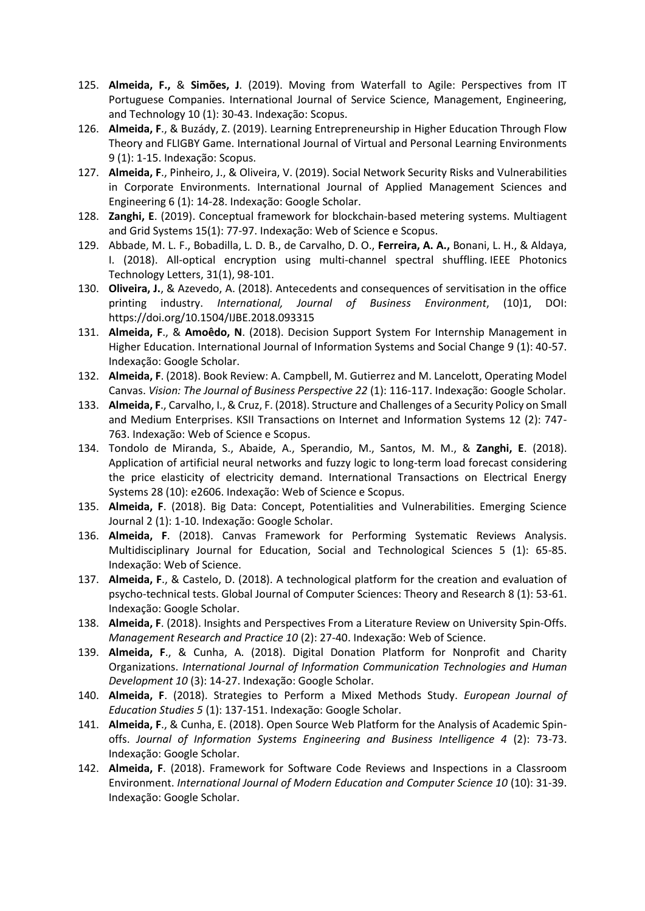- 125. **Almeida, F.,** & **Simões, J**. (2019). Moving from Waterfall to Agile: Perspectives from IT Portuguese Companies. International Journal of Service Science, Management, Engineering, and Technology 10 (1): 30-43. Indexação: Scopus.
- 126. **Almeida, F**., & Buzády, Z. (2019). Learning Entrepreneurship in Higher Education Through Flow Theory and FLIGBY Game. International Journal of Virtual and Personal Learning Environments 9 (1): 1-15. Indexação: Scopus.
- 127. **Almeida, F**., Pinheiro, J., & Oliveira, V. (2019). Social Network Security Risks and Vulnerabilities in Corporate Environments. International Journal of Applied Management Sciences and Engineering 6 (1): 14-28. Indexação: Google Scholar.
- 128. **Zanghi, E**. (2019). Conceptual framework for blockchain-based metering systems. Multiagent and Grid Systems 15(1): 77-97. Indexação: Web of Science e Scopus.
- 129. Abbade, M. L. F., Bobadilla, L. D. B., de Carvalho, D. O., **Ferreira, A. A.,** Bonani, L. H., & Aldaya, I. (2018). All-optical encryption using multi-channel spectral shuffling. IEEE Photonics Technology Letters, 31(1), 98-101.
- 130. **Oliveira, J.**, & Azevedo, A. (2018). Antecedents and consequences of servitisation in the office printing industry. *International, Journal of Business Environment*, (10)1, DOI: https://doi.org/10.1504/IJBE.2018.093315
- 131. **Almeida, F**., & **Amoêdo, N**. (2018). Decision Support System For Internship Management in Higher Education. International Journal of Information Systems and Social Change 9 (1): 40-57. Indexação: Google Scholar.
- 132. **Almeida, F**. (2018). Book Review: A. Campbell, M. Gutierrez and M. Lancelott, Operating Model Canvas. *Vision: The Journal of Business Perspective 22* (1): 116-117. Indexação: Google Scholar.
- 133. **Almeida, F**., Carvalho, I., & Cruz, F. (2018). Structure and Challenges of a Security Policy on Small and Medium Enterprises. KSII Transactions on Internet and Information Systems 12 (2): 747- 763. Indexação: Web of Science e Scopus.
- 134. Tondolo de Miranda, S., Abaide, A., Sperandio, M., Santos, M. M., & **Zanghi, E**. (2018). Application of artificial neural networks and fuzzy logic to long-term load forecast considering the price elasticity of electricity demand. International Transactions on Electrical Energy Systems 28 (10): e2606. Indexação: Web of Science e Scopus.
- 135. **Almeida, F**. (2018). Big Data: Concept, Potentialities and Vulnerabilities. Emerging Science Journal 2 (1): 1-10. Indexação: Google Scholar.
- 136. **Almeida, F**. (2018). Canvas Framework for Performing Systematic Reviews Analysis. Multidisciplinary Journal for Education, Social and Technological Sciences 5 (1): 65-85. Indexação: Web of Science.
- 137. **Almeida, F**., & Castelo, D. (2018). A technological platform for the creation and evaluation of psycho-technical tests. Global Journal of Computer Sciences: Theory and Research 8 (1): 53-61. Indexação: Google Scholar.
- 138. **Almeida, F**. (2018). Insights and Perspectives From a Literature Review on University Spin-Offs. *Management Research and Practice 10* (2): 27-40. Indexação: Web of Science.
- 139. **Almeida, F**., & Cunha, A. (2018). Digital Donation Platform for Nonprofit and Charity Organizations. *International Journal of Information Communication Technologies and Human Development 10* (3): 14-27. Indexação: Google Scholar.
- 140. **Almeida, F**. (2018). Strategies to Perform a Mixed Methods Study. *European Journal of Education Studies 5* (1): 137-151. Indexação: Google Scholar.
- 141. **Almeida, F**., & Cunha, E. (2018). Open Source Web Platform for the Analysis of Academic Spinoffs. *Journal of Information Systems Engineering and Business Intelligence 4* (2): 73-73. Indexação: Google Scholar.
- 142. **Almeida, F**. (2018). Framework for Software Code Reviews and Inspections in a Classroom Environment. *International Journal of Modern Education and Computer Science 10* (10): 31-39. Indexação: Google Scholar.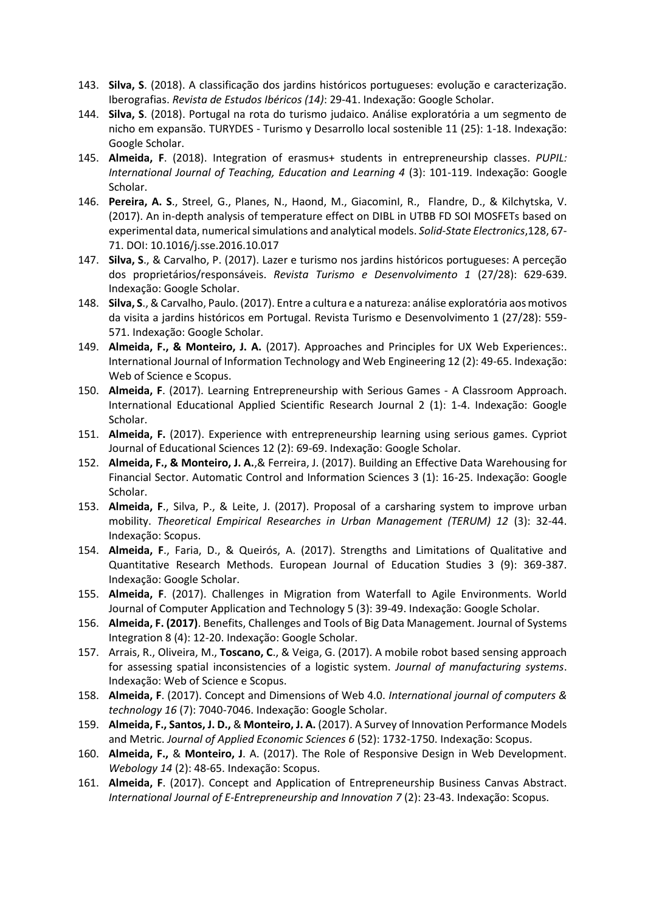- 143. **Silva, S**. (2018). A classificação dos jardins históricos portugueses: evolução e caracterização. Iberografias. *Revista de Estudos Ibéricos (14)*: 29-41. Indexação: Google Scholar.
- 144. **Silva, S**. (2018). Portugal na rota do turismo judaico. Análise exploratória a um segmento de nicho em expansão. TURYDES - Turismo y Desarrollo local sostenible 11 (25): 1-18. Indexação: Google Scholar.
- 145. **Almeida, F**. (2018). Integration of erasmus+ students in entrepreneurship classes. *PUPIL: International Journal of Teaching, Education and Learning 4* (3): 101-119. Indexação: Google Scholar.
- 146. **Pereira, A. S**., Streel, G., Planes, N., Haond, M., GiacominI, R., Flandre, D., & Kilchytska, V. (2017). An in-depth analysis of temperature effect on DIBL in UTBB FD SOI MOSFETs based on experimental data, numerical simulations and analytical models. *Solid-State Electronics*,128, 67- 71. DOI: 10.1016/j.sse.2016.10.017
- 147. **Silva, S**., & Carvalho, P. (2017). Lazer e turismo nos jardins históricos portugueses: A perceção dos proprietários/responsáveis. *Revista Turismo e Desenvolvimento 1* (27/28): 629-639. Indexação: Google Scholar.
- 148. **Silva, S**., &Carvalho, Paulo. (2017). Entre a cultura e a natureza: análise exploratória aos motivos da visita a jardins históricos em Portugal. Revista Turismo e Desenvolvimento 1 (27/28): 559- 571. Indexação: Google Scholar.
- 149. **Almeida, F., & Monteiro, J. A.** (2017). Approaches and Principles for UX Web Experiences:. International Journal of Information Technology and Web Engineering 12 (2): 49-65. Indexação: Web of Science e Scopus.
- 150. **Almeida, F**. (2017). Learning Entrepreneurship with Serious Games A Classroom Approach. International Educational Applied Scientific Research Journal 2 (1): 1-4. Indexação: Google Scholar.
- 151. **Almeida, F.** (2017). Experience with entrepreneurship learning using serious games. Cypriot Journal of Educational Sciences 12 (2): 69-69. Indexação: Google Scholar.
- 152. **Almeida, F., & Monteiro, J. A.**,& Ferreira, J. (2017). Building an Effective Data Warehousing for Financial Sector. Automatic Control and Information Sciences 3 (1): 16-25. Indexação: Google Scholar.
- 153. **Almeida, F**., Silva, P., & Leite, J. (2017). Proposal of a carsharing system to improve urban mobility. *Theoretical Empirical Researches in Urban Management (TERUM) 12* (3): 32-44. Indexação: Scopus.
- 154. **Almeida, F**., Faria, D., & Queirós, A. (2017). Strengths and Limitations of Qualitative and Quantitative Research Methods. European Journal of Education Studies 3 (9): 369-387. Indexação: Google Scholar.
- 155. **Almeida, F**. (2017). Challenges in Migration from Waterfall to Agile Environments. World Journal of Computer Application and Technology 5 (3): 39-49. Indexação: Google Scholar.
- 156. **Almeida, F. (2017)**. Benefits, Challenges and Tools of Big Data Management. Journal of Systems Integration 8 (4): 12-20. Indexação: Google Scholar.
- 157. Arrais, R., Oliveira, M., **Toscano, C**., & Veiga, G. (2017). A mobile robot based sensing approach for assessing spatial inconsistencies of a logistic system. *Journal of manufacturing systems*. Indexação: Web of Science e Scopus.
- 158. **Almeida, F**. (2017). Concept and Dimensions of Web 4.0. *International journal of computers & technology 16* (7): 7040-7046. Indexação: Google Scholar.
- 159. **Almeida, F., Santos, J. D.,** & **Monteiro, J. A.** (2017). A Survey of Innovation Performance Models and Metric. *Journal of Applied Economic Sciences 6* (52): 1732-1750. Indexação: Scopus.
- 160. **Almeida, F.,** & **Monteiro, J**. A. (2017). The Role of Responsive Design in Web Development. *Webology 14* (2): 48-65. Indexação: Scopus.
- 161. **Almeida, F**. (2017). Concept and Application of Entrepreneurship Business Canvas Abstract. *International Journal of E-Entrepreneurship and Innovation 7* (2): 23-43. Indexação: Scopus.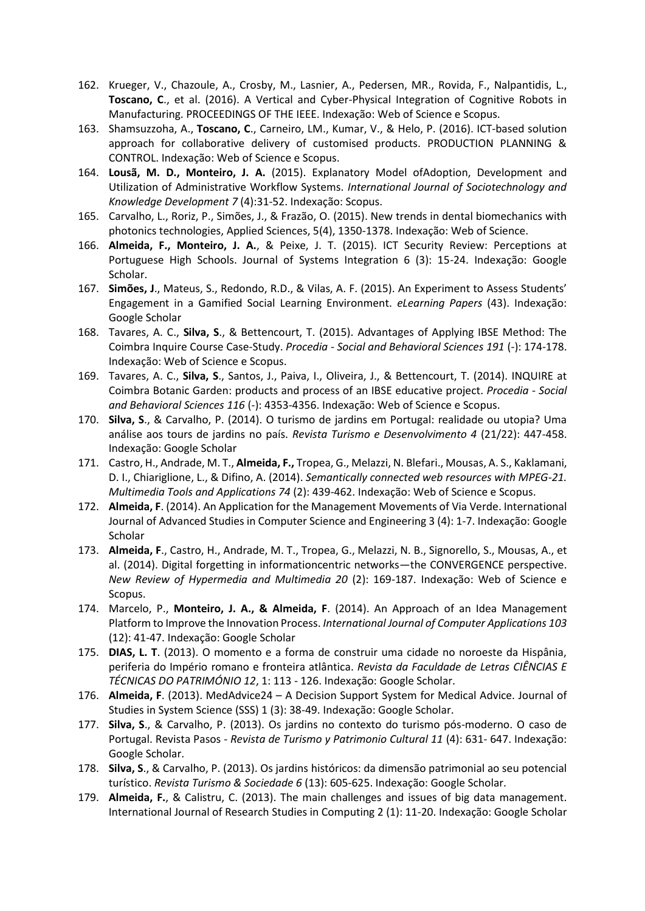- 162. Krueger, V., Chazoule, A., Crosby, M., Lasnier, A., Pedersen, MR., Rovida, F., Nalpantidis, L., **Toscano, C**., et al. (2016). A Vertical and Cyber-Physical Integration of Cognitive Robots in Manufacturing. PROCEEDINGS OF THE IEEE. Indexação: Web of Science e Scopus.
- 163. Shamsuzzoha, A., **Toscano, C**., Carneiro, LM., Kumar, V., & Helo, P. (2016). ICT-based solution approach for collaborative delivery of customised products. PRODUCTION PLANNING & CONTROL. Indexação: Web of Science e Scopus.
- 164. **Lousã, M. D., Monteiro, J. A.** (2015). Explanatory Model ofAdoption, Development and Utilization of Administrative Workflow Systems. *International Journal of Sociotechnology and Knowledge Development 7* (4):31-52. Indexação: Scopus.
- 165. Carvalho, L., Roriz, P., Simões, J., & Frazão, O. (2015). New trends in dental biomechanics with photonics technologies, Applied Sciences, 5(4), 1350-1378. Indexação: Web of Science.
- 166. **Almeida, F., Monteiro, J. A.**, & Peixe, J. T. (2015). ICT Security Review: Perceptions at Portuguese High Schools. Journal of Systems Integration 6 (3): 15-24. Indexação: Google Scholar.
- 167. **Simões, J**., Mateus, S., Redondo, R.D., & Vilas, A. F. (2015). An Experiment to Assess Students' Engagement in a Gamified Social Learning Environment. *eLearning Papers* (43). Indexação: Google Scholar
- 168. Tavares, A. C., **Silva, S**., & Bettencourt, T. (2015). Advantages of Applying IBSE Method: The Coimbra Inquire Course Case-Study. *Procedia - Social and Behavioral Sciences 191* (-): 174-178. Indexação: Web of Science e Scopus.
- 169. Tavares, A. C., **Silva, S**., Santos, J., Paiva, I., Oliveira, J., & Bettencourt, T. (2014). INQUIRE at Coimbra Botanic Garden: products and process of an IBSE educative project. *Procedia - Social and Behavioral Sciences 116* (-): 4353-4356. Indexação: Web of Science e Scopus.
- 170. **Silva, S**., & Carvalho, P. (2014). O turismo de jardins em Portugal: realidade ou utopia? Uma análise aos tours de jardins no país. *Revista Turismo e Desenvolvimento 4* (21/22): 447-458. Indexação: Google Scholar
- 171. Castro, H., Andrade, M. T., **Almeida, F.,** Tropea, G., Melazzi, N. Blefari., Mousas, A. S., Kaklamani, D. I., Chiariglione, L., & Difino, A. (2014). *Semantically connected web resources with MPEG-21. Multimedia Tools and Applications 74* (2): 439-462. Indexação: Web of Science e Scopus.
- 172. **Almeida, F**. (2014). An Application for the Management Movements of Via Verde. International Journal of Advanced Studies in Computer Science and Engineering 3 (4): 1-7. Indexação: Google Scholar
- 173. **Almeida, F**., Castro, H., Andrade, M. T., Tropea, G., Melazzi, N. B., Signorello, S., Mousas, A., et al. (2014). Digital forgetting in informationcentric networks—the CONVERGENCE perspective. *New Review of Hypermedia and Multimedia 20* (2): 169-187. Indexação: Web of Science e Scopus.
- 174. Marcelo, P., **Monteiro, J. A., & Almeida, F**. (2014). An Approach of an Idea Management Platform to Improve the Innovation Process. *International Journal of Computer Applications 103* (12): 41-47. Indexação: Google Scholar
- 175. **DIAS, L. T**. (2013). O momento e a forma de construir uma cidade no noroeste da Hispânia, periferia do Império romano e fronteira atlântica. *Revista da Faculdade de Letras CIÊNCIAS E TÉCNICAS DO PATRIMÓNIO 12*, 1: 113 - 126. Indexação: Google Scholar.
- 176. **Almeida, F**. (2013). MedAdvice24 A Decision Support System for Medical Advice. Journal of Studies in System Science (SSS) 1 (3): 38-49. Indexação: Google Scholar.
- 177. **Silva, S**., & Carvalho, P. (2013). Os jardins no contexto do turismo pós-moderno. O caso de Portugal. Revista Pasos - *Revista de Turismo y Patrimonio Cultural 11* (4): 631- 647. Indexação: Google Scholar.
- 178. **Silva, S**., & Carvalho, P. (2013). Os jardins históricos: da dimensão patrimonial ao seu potencial turístico. *Revista Turismo & Sociedade 6* (13): 605-625. Indexação: Google Scholar.
- 179. **Almeida, F.**, & Calistru, C. (2013). The main challenges and issues of big data management. International Journal of Research Studies in Computing 2 (1): 11-20. Indexação: Google Scholar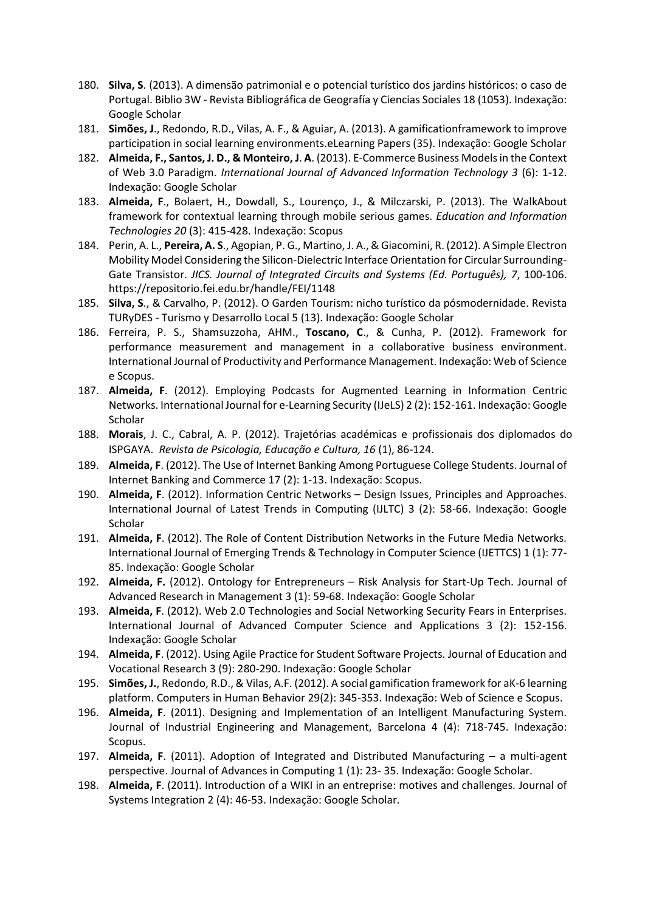- 180. **Silva, S**. (2013). A dimensão patrimonial e o potencial turístico dos jardins históricos: o caso de Portugal. Biblio 3W - Revista Bibliográfica de Geografía y Ciencias Sociales 18 (1053). Indexação: Google Scholar
- 181. **Simões, J**., Redondo, R.D., Vilas, A. F., & Aguiar, A. (2013). A gamificationframework to improve participation in social learning environments.eLearning Papers (35). Indexação: Google Scholar
- 182. **Almeida, F., Santos, J. D., & Monteiro, J**. **A**. (2013). E-Commerce Business Models in the Context of Web 3.0 Paradigm. *International Journal of Advanced Information Technology 3* (6): 1-12. Indexação: Google Scholar
- 183. **Almeida, F**., Bolaert, H., Dowdall, S., Lourenço, J., & Milczarski, P. (2013). The WalkAbout framework for contextual learning through mobile serious games. *Education and Information Technologies 20* (3): 415-428. Indexação: Scopus
- 184. Perin, A. L., **Pereira, A. S**., Agopian, P. G., Martino, J. A., & Giacomini, R. (2012). A Simple Electron Mobility Model Considering the Silicon-Dielectric Interface Orientation for Circular Surrounding-Gate Transistor. *JICS. Journal of Integrated Circuits and Systems (Ed. Português), 7*, 100-106. https://repositorio.fei.edu.br/handle/FEI/1148
- 185. **Silva, S**., & Carvalho, P. (2012). O Garden Tourism: nicho turístico da pósmodernidade. Revista TURyDES - Turismo y Desarrollo Local 5 (13). Indexação: Google Scholar
- 186. Ferreira, P. S., Shamsuzzoha, AHM., **Toscano, C**., & Cunha, P. (2012). Framework for performance measurement and management in a collaborative business environment. International Journal of Productivity and Performance Management. Indexação: Web of Science e Scopus.
- 187. **Almeida, F**. (2012). Employing Podcasts for Augmented Learning in Information Centric Networks. International Journal for e-Learning Security (IJeLS) 2 (2): 152-161. Indexação: Google **Scholar**
- 188. **Morais**, J. C., Cabral, A. P. (2012). Trajetórias académicas e profissionais dos diplomados do ISPGAYA. *Revista de Psicologia, Educação e Cultura, 16* (1), 86-124.
- 189. **Almeida, F**. (2012). The Use of Internet Banking Among Portuguese College Students. Journal of Internet Banking and Commerce 17 (2): 1-13. Indexação: Scopus.
- 190. **Almeida, F**. (2012). Information Centric Networks Design Issues, Principles and Approaches. International Journal of Latest Trends in Computing (IJLTC) 3 (2): 58-66. Indexação: Google **Scholar**
- 191. **Almeida, F**. (2012). The Role of Content Distribution Networks in the Future Media Networks. International Journal of Emerging Trends & Technology in Computer Science (IJETTCS) 1 (1): 77- 85. Indexação: Google Scholar
- 192. **Almeida, F.** (2012). Ontology for Entrepreneurs Risk Analysis for Start-Up Tech. Journal of Advanced Research in Management 3 (1): 59-68. Indexação: Google Scholar
- 193. **Almeida, F**. (2012). Web 2.0 Technologies and Social Networking Security Fears in Enterprises. International Journal of Advanced Computer Science and Applications 3 (2): 152-156. Indexação: Google Scholar
- 194. **Almeida, F**. (2012). Using Agile Practice for Student Software Projects. Journal of Education and Vocational Research 3 (9): 280-290. Indexação: Google Scholar
- 195. **Simões, J.**, Redondo, R.D., & Vilas, A.F. (2012). A social gamification framework for aK-6 learning platform. Computers in Human Behavior 29(2): 345-353. Indexação: Web of Science e Scopus.
- 196. **Almeida, F**. (2011). Designing and Implementation of an Intelligent Manufacturing System. Journal of Industrial Engineering and Management, Barcelona 4 (4): 718-745. Indexação: Scopus.
- 197. **Almeida, F**. (2011). Adoption of Integrated and Distributed Manufacturing a multi-agent perspective. Journal of Advances in Computing 1 (1): 23- 35. Indexação: Google Scholar.
- 198. **Almeida, F**. (2011). Introduction of a WIKI in an entreprise: motives and challenges. Journal of Systems Integration 2 (4): 46-53. Indexação: Google Scholar.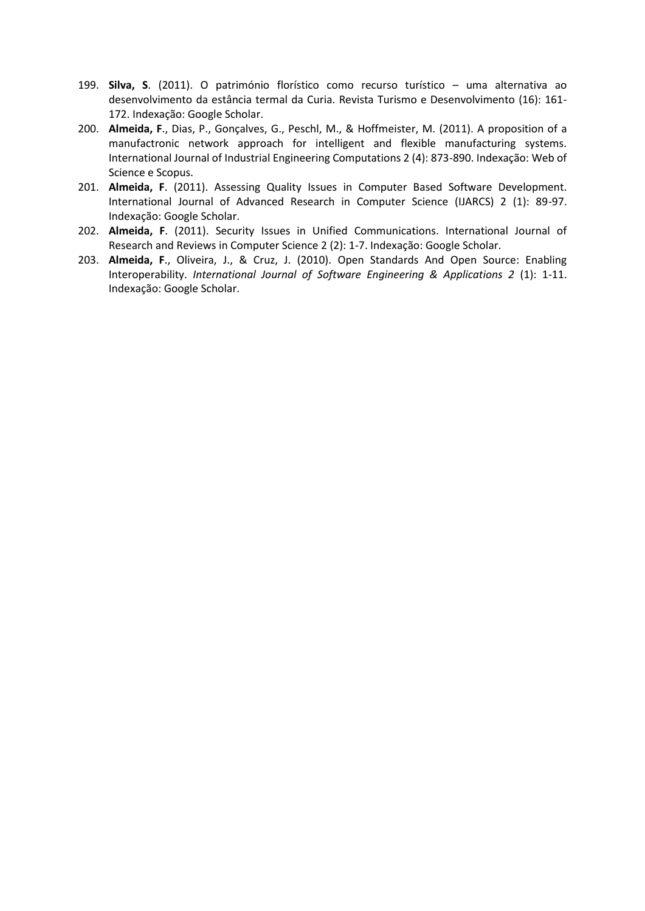- 199. **Silva, S**. (2011). O património florístico como recurso turístico uma alternativa ao desenvolvimento da estância termal da Curia. Revista Turismo e Desenvolvimento (16): 161- 172. Indexação: Google Scholar.
- 200. **Almeida, F**., Dias, P., Gonçalves, G., Peschl, M., & Hoffmeister, M. (2011). A proposition of a manufactronic network approach for intelligent and flexible manufacturing systems. International Journal of Industrial Engineering Computations 2 (4): 873-890. Indexação: Web of Science e Scopus.
- 201. **Almeida, F**. (2011). Assessing Quality Issues in Computer Based Software Development. International Journal of Advanced Research in Computer Science (IJARCS) 2 (1): 89-97. Indexação: Google Scholar.
- 202. **Almeida, F**. (2011). Security Issues in Unified Communications. International Journal of Research and Reviews in Computer Science 2 (2): 1-7. Indexação: Google Scholar.
- 203. **Almeida, F**., Oliveira, J., & Cruz, J. (2010). Open Standards And Open Source: Enabling Interoperability. *International Journal of Software Engineering & Applications 2* (1): 1-11. Indexação: Google Scholar.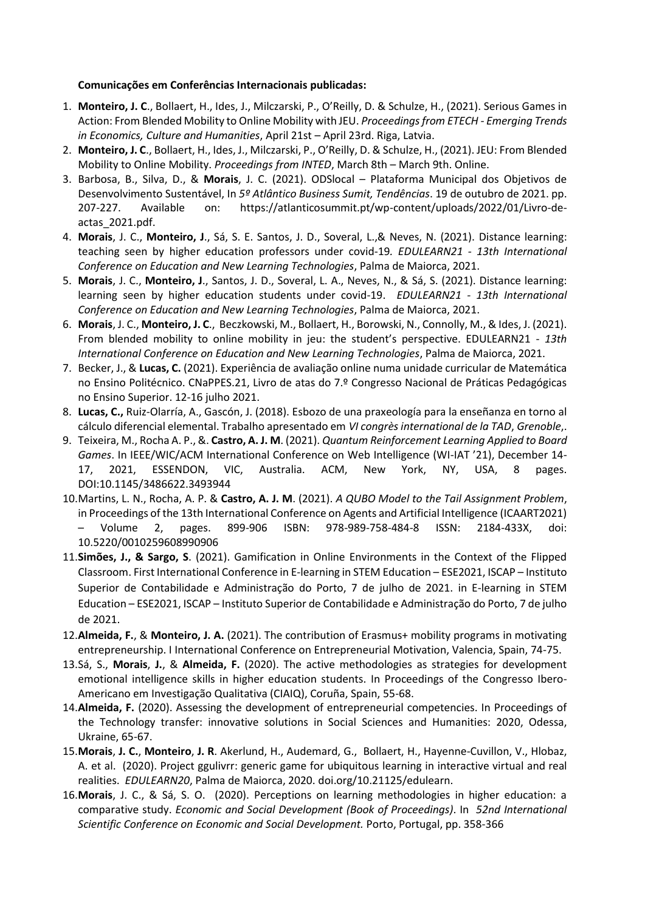# **Comunicações em Conferências Internacionais publicadas:**

- 1. **Monteiro, J. C**., Bollaert, H., Ides, J., Milczarski, P., O'Reilly, D. & Schulze, H., (2021). Serious Games in Action: From Blended Mobility to Online Mobility with JEU. *Proceedings from ETECH - Emerging Trends in Economics, Culture and Humanities*, April 21st – April 23rd. Riga, Latvia.
- 2. **Monteiro, J. C**., Bollaert, H., Ides, J., Milczarski, P., O'Reilly, D. & Schulze, H., (2021). JEU: From Blended Mobility to Online Mobility. *Proceedings from INTED*, March 8th – March 9th. Online.
- 3. Barbosa, B., Silva, D., & **Morais**, J. C. (2021). ODSlocal Plataforma Municipal dos Objetivos de Desenvolvimento Sustentável, In *5º Atlântico Business Sumit, Tendências*. 19 de outubro de 2021. pp. 207-227. Available on: https://atlanticosummit.pt/wp-content/uploads/2022/01/Livro-deactas\_2021.pdf.
- 4. **Morais**, J. C., **Monteiro, J**., Sá, S. E. Santos, J. D., Soveral, L.,& Neves, N. (2021). Distance learning: teaching seen by higher education professors under covid-19*. EDULEARN21 - 13th International Conference on Education and New Learning Technologies*, Palma de Maiorca, 2021.
- 5. **Morais**, J. C., **Monteiro, J**., Santos, J. D., Soveral, L. A., Neves, N., & Sá, S. (2021). Distance learning: learning seen by higher education students under covid-19. *EDULEARN21 - 13th International Conference on Education and New Learning Technologies*, Palma de Maiorca, 2021.
- 6. **Morais**, J. C., **Monteiro, J. C**., Beczkowski, M., Bollaert, H., Borowski, N., Connolly, M., & Ides, J. (2021). From blended mobility to online mobility in jeu: the student's perspective. EDULEARN21 - *13th International Conference on Education and New Learning Technologies*, Palma de Maiorca, 2021.
- 7. Becker, J., & **Lucas, C.** (2021). Experiência de avaliação online numa unidade curricular de Matemática no Ensino Politécnico. CNaPPES.21, Livro de atas do 7.º Congresso Nacional de Práticas Pedagógicas no Ensino Superior. 12-16 julho 2021.
- 8. **Lucas, C.,** Ruiz-Olarría, A., Gascón, J. (2018). Esbozo de una praxeología para la enseñanza en torno al cálculo diferencial elemental. Trabalho apresentado em *VI congrès international de la TAD*, *Grenoble*,.
- 9. Teixeira, M., Rocha A. P., &. **Castro, A. J. M**. (2021). *Quantum Reinforcement Learning Applied to Board Games*. In IEEE/WIC/ACM International Conference on Web Intelligence (WI-IAT '21), December 14- 17, 2021, ESSENDON, VIC, Australia. ACM, New York, NY, USA, 8 pages. DOI:10.1145/3486622.3493944
- 10.Martins, L. N., Rocha, A. P. & **Castro, A. J. M**. (2021). *A QUBO Model to the Tail Assignment Problem*, in Proceedings of the 13th International Conference on Agents and Artificial Intelligence (ICAART2021) – Volume 2, pages. 899-906 ISBN: 978-989-758-484-8 ISSN: 2184-433X, doi: 10.5220/0010259608990906
- 11.**Simões, J., & Sargo, S**. (2021). Gamification in Online Environments in the Context of the Flipped Classroom. First International Conference in E-learning in STEM Education – ESE2021, ISCAP – Instituto Superior de Contabilidade e Administração do Porto, 7 de julho de 2021. in E-learning in STEM Education – ESE2021, ISCAP – Instituto Superior de Contabilidade e Administração do Porto, 7 de julho de 2021.
- 12.**Almeida, F.**, & **Monteiro, J. A.** (2021). The contribution of Erasmus+ mobility programs in motivating entrepreneurship. I International Conference on Entrepreneurial Motivation, Valencia, Spain, 74-75.
- 13.Sá, S., **Morais**, **J.**, & **Almeida, F.** (2020). The active methodologies as strategies for development emotional intelligence skills in higher education students. In Proceedings of the Congresso Ibero-Americano em Investigação Qualitativa (CIAIQ), Coruña, Spain, 55-68.
- 14.**Almeida, F.** (2020). Assessing the development of entrepreneurial competencies. In Proceedings of the Technology transfer: innovative solutions in Social Sciences and Humanities: 2020, Odessa, Ukraine, 65-67.
- 15.**Morais**, **J. C.**, **Monteiro**, **J. R**. Akerlund, H., Audemard, G., Bollaert, H., Hayenne-Cuvillon, V., Hlobaz, A. et al. (2020). Project ggulivrr: generic game for ubiquitous learning in interactive virtual and real realities. *EDULEARN20*, Palma de Maiorca, 2020. doi.org/10.21125/edulearn.
- 16.**Morais**, J. C., & Sá, S. O. (2020). Perceptions on learning methodologies in higher education: a comparative study. *Economic and Social Development (Book of Proceedings)*. In *52nd International Scientific Conference on Economic and Social Development.* Porto, Portugal, pp. 358-366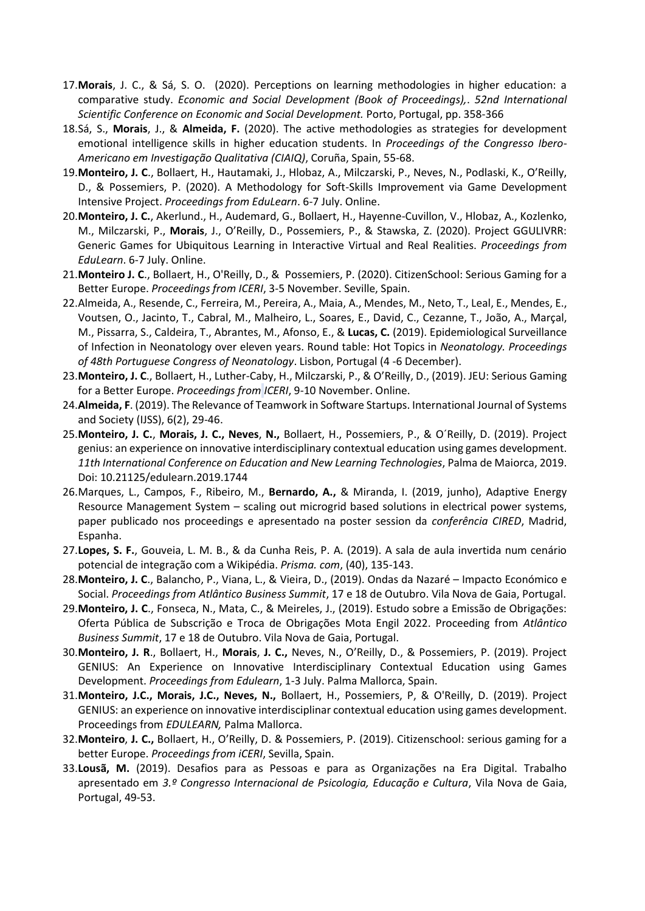- 17.**Morais**, J. C., & Sá, S. O. (2020). Perceptions on learning methodologies in higher education: a comparative study. *Economic and Social Development (Book of Proceedings),*. *52nd International Scientific Conference on Economic and Social Development.* Porto, Portugal, pp. 358-366
- 18.Sá, S., **Morais**, J., & **Almeida, F.** (2020). The active methodologies as strategies for development emotional intelligence skills in higher education students. In *Proceedings of the Congresso Ibero-Americano em Investigação Qualitativa (CIAIQ)*, Coruña, Spain, 55-68.
- 19.**Monteiro, J. C**., Bollaert, H., Hautamaki, J., Hlobaz, A., Milczarski, P., Neves, N., Podlaski, K., O'Reilly, D., & Possemiers, P. (2020). A Methodology for Soft-Skills Improvement via Game Development Intensive Project. *Proceedings from EduLearn*. 6-7 July. Online.
- 20.**Monteiro, J. C.**, Akerlund., H., Audemard, G., Bollaert, H., Hayenne-Cuvillon, V., Hlobaz, A., Kozlenko, M., Milczarski, P., **Morais**, J., O'Reilly, D., Possemiers, P., & Stawska, Z. (2020). Project GGULIVRR: Generic Games for Ubiquitous Learning in Interactive Virtual and Real Realities. *Proceedings from EduLearn*. 6-7 July. Online.
- 21.**Monteiro J. C**., Bollaert, H., O'Reilly, D., & Possemiers, P. (2020). CitizenSchool: Serious Gaming for a Better Europe. *Proceedings from ICERI*, 3-5 November. Seville, Spain.
- 22.Almeida, A., Resende, C., Ferreira, M., Pereira, A., Maia, A., Mendes, M., Neto, T., Leal, E., Mendes, E., Voutsen, O., Jacinto, T., Cabral, M., Malheiro, L., Soares, E., David, C., Cezanne, T., João, A., Marçal, M., Pissarra, S., Caldeira, T., Abrantes, M., Afonso, E., & **Lucas, C.** (2019). Epidemiological Surveillance of Infection in Neonatology over eleven years. Round table: Hot Topics in *Neonatology. Proceedings of 48th Portuguese Congress of Neonatology*. Lisbon, Portugal (4 -6 December).
- 23.**Monteiro, J. C**., Bollaert, H., Luther-Caby, H., Milczarski, P., & O'Reilly, D., (2019). JEU: Serious Gaming for a Better Europe. *Proceedings from ICERI*, 9-10 November. Online.
- 24.**Almeida, F**. (2019). The Relevance of Teamwork in Software Startups. International Journal of Systems and Society (IJSS), 6(2), 29-46.
- 25.**Monteiro, J. C.**, **Morais, J. C., Neves**, **N.,** Bollaert, H., Possemiers, P., & O´Reilly, D. (2019). Project genius: an experience on innovative interdisciplinary contextual education using games development. *11th International Conference on Education and New Learning Technologies*, Palma de Maiorca, 2019. Doi: 10.21125/edulearn.2019.1744
- 26.Marques, L., Campos, F., Ribeiro, M., **Bernardo, A.,** & Miranda, I. (2019, junho), Adaptive Energy Resource Management System – scaling out microgrid based solutions in electrical power systems, paper publicado nos proceedings e apresentado na poster session da *conferência CIRED*, Madrid, Espanha.
- 27.**Lopes, S. F.**, Gouveia, L. M. B., & da Cunha Reis, P. A. (2019). A sala de aula invertida num cenário potencial de integração com a Wikipédia. *Prisma. com*, (40), 135-143.
- 28.**Monteiro, J. C**., Balancho, P., Viana, L., & Vieira, D., (2019). Ondas da Nazaré Impacto Económico e Social. *Proceedings from Atlântico Business Summit*, 17 e 18 de Outubro. Vila Nova de Gaia, Portugal.
- 29.**Monteiro, J. C**., Fonseca, N., Mata, C., & Meireles, J., (2019). Estudo sobre a Emissão de Obrigações: Oferta Pública de Subscrição e Troca de Obrigações Mota Engil 2022. Proceeding from *Atlântico Business Summit*, 17 e 18 de Outubro. Vila Nova de Gaia, Portugal.
- 30.**Monteiro, J. R**., Bollaert, H., **Morais**, **J. C.,** Neves, N., O'Reilly, D., & Possemiers, P. (2019). Project GENIUS: An Experience on Innovative Interdisciplinary Contextual Education using Games Development. *Proceedings from Edulearn*, 1-3 July. Palma Mallorca, Spain.
- 31.**Monteiro, J.C., Morais, J.C., Neves, N.,** Bollaert, H., Possemiers, P, & O'Reilly, D. (2019). Project GENIUS: an experience on innovative interdisciplinar contextual education using games development. Proceedings from *EDULEARN,* Palma Mallorca.
- 32.**Monteiro**, **J. C.,** Bollaert, H., O'Reilly, D. & Possemiers, P. (2019). Citizenschool: serious gaming for a better Europe. *Proceedings from iCERI*, Sevilla, Spain.
- 33.**Lousã, M.** (2019). Desafios para as Pessoas e para as Organizações na Era Digital. Trabalho apresentado em *3.º Congresso Internacional de Psicologia, Educação e Cultura*, Vila Nova de Gaia, Portugal, 49-53.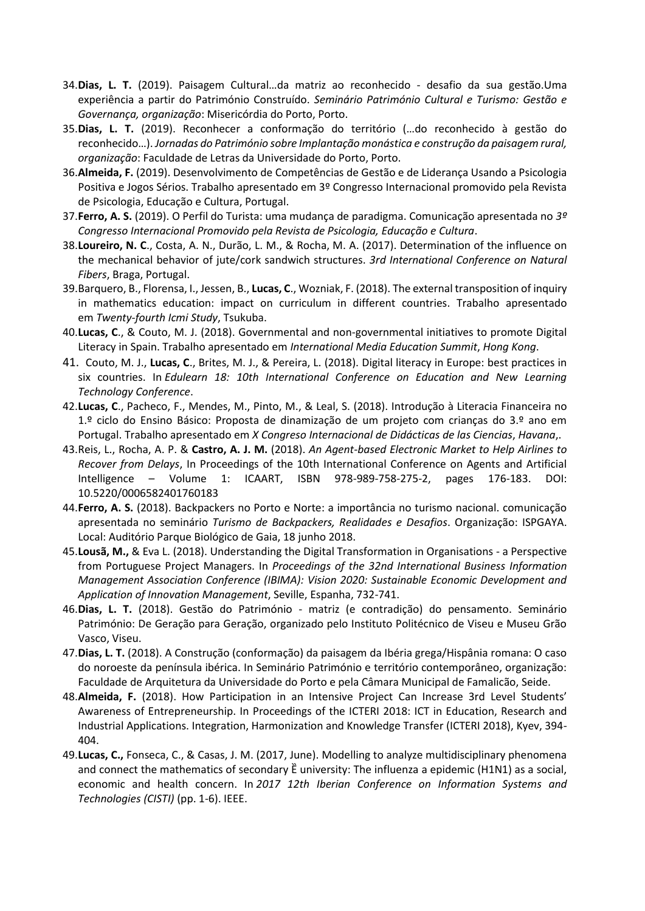- 34.**Dias, L. T.** (2019). Paisagem Cultural…da matriz ao reconhecido desafio da sua gestão.Uma experiência a partir do Património Construído. *Seminário Património Cultural e Turismo: Gestão e Governança, organização*: Misericórdia do Porto, Porto.
- 35.**Dias, L. T.** (2019). Reconhecer a conformação do território (…do reconhecido à gestão do reconhecido…). *Jornadas do Património sobre Implantação monástica e construção da paisagem rural, organização*: Faculdade de Letras da Universidade do Porto, Porto.
- 36.**Almeida, F.** (2019). Desenvolvimento de Competências de Gestão e de Liderança Usando a Psicologia Positiva e Jogos Sérios. Trabalho apresentado em 3º Congresso Internacional promovido pela Revista de Psicologia, Educação e Cultura, Portugal.
- 37.**Ferro, A. S.** (2019). O Perfil do Turista: uma mudança de paradigma. Comunicação apresentada no *3º Congresso Internacional Promovido pela Revista de Psicologia, Educação e Cultura*.
- 38.**Loureiro, N. C**., Costa, A. N., Durão, L. M., & Rocha, M. A. (2017). Determination of the influence on the mechanical behavior of jute/cork sandwich structures. *3rd International Conference on Natural Fibers*, Braga, Portugal.
- 39.Barquero, B., Florensa, I., Jessen, B., **Lucas, C**., Wozniak, F. (2018). The external transposition of inquiry in mathematics education: impact on curriculum in different countries. Trabalho apresentado em *Twenty-fourth Icmi Study*, Tsukuba.
- 40.**Lucas, C**., & Couto, M. J. (2018). Governmental and non-governmental initiatives to promote Digital Literacy in Spain. Trabalho apresentado em *International Media Education Summit*, *Hong Kong*.
- 41. Couto, M. J., **Lucas, C**., Brites, M. J., & Pereira, L. (2018). Digital literacy in Europe: best practices in six countries. In *Edulearn 18: 10th International Conference on Education and New Learning Technology Conference*.
- 42.**Lucas, C**., Pacheco, F., Mendes, M., Pinto, M., & Leal, S. (2018). Introdução à Literacia Financeira no 1.º ciclo do Ensino Básico: Proposta de dinamização de um projeto com crianças do 3.º ano em Portugal. Trabalho apresentado em *X Congreso Internacional de Didácticas de las Ciencias*, *Havana*,.
- 43.Reis, L., Rocha, A. P. & **Castro, A. J. M.** (2018). *An Agent-based Electronic Market to Help Airlines to Recover from Delays*, In Proceedings of the 10th International Conference on Agents and Artificial Intelligence – Volume 1: ICAART, ISBN 978-989-758-275-2, pages 176-183. DOI: 10.5220/0006582401760183
- 44.**Ferro, A. S.** (2018). Backpackers no Porto e Norte: a importância no turismo nacional. comunicação apresentada no seminário *Turismo de Backpackers, Realidades e Desafios*. Organização: ISPGAYA. Local: Auditório Parque Biológico de Gaia, 18 junho 2018.
- 45.**Lousã, M.,** & Eva L. (2018). Understanding the Digital Transformation in Organisations a Perspective from Portuguese Project Managers. In *Proceedings of the 32nd International Business Information Management Association Conference (IBIMA): Vision 2020: Sustainable Economic Development and Application of Innovation Management*, Seville, Espanha, 732-741.
- 46.**Dias, L. T.** (2018). Gestão do Património matriz (e contradição) do pensamento. Seminário Património: De Geração para Geração, organizado pelo Instituto Politécnico de Viseu e Museu Grão Vasco, Viseu.
- 47.**Dias, L. T.** (2018). A Construção (conformação) da paisagem da Ibéria grega/Hispânia romana: O caso do noroeste da península ibérica. In Seminário Património e território contemporâneo, organização: Faculdade de Arquitetura da Universidade do Porto e pela Câmara Municipal de Famalicão, Seide.
- 48.**Almeida, F.** (2018). How Participation in an Intensive Project Can Increase 3rd Level Students' Awareness of Entrepreneurship. In Proceedings of the ICTERI 2018: ICT in Education, Research and Industrial Applications. Integration, Harmonization and Knowledge Transfer (ICTERI 2018), Kyev, 394- 404.
- 49.**Lucas, C.,** Fonseca, C., & Casas, J. M. (2017, June). Modelling to analyze multidisciplinary phenomena and connect the mathematics of secondary  $\ddot{E}$  university: The influenza a epidemic (H1N1) as a social, economic and health concern. In *2017 12th Iberian Conference on Information Systems and Technologies (CISTI)* (pp. 1-6). IEEE.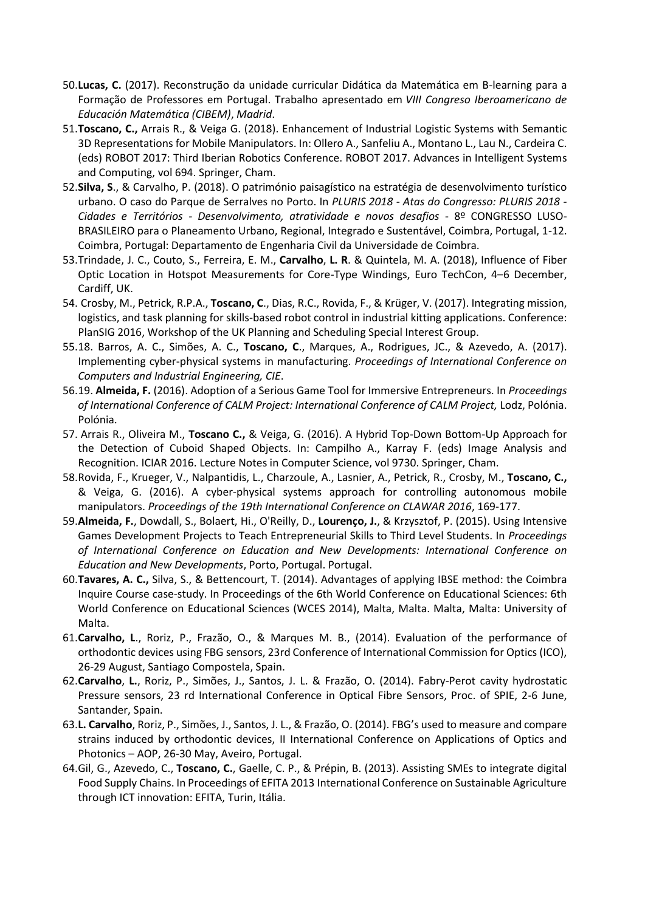- 50.**Lucas, C.** (2017). Reconstrução da unidade curricular Didática da Matemática em B-learning para a Formação de Professores em Portugal. Trabalho apresentado em *VIII Congreso Iberoamericano de Educación Matemática (CIBEM)*, *Madrid*.
- 51.**Toscano, C.,** Arrais R., & Veiga G. (2018). Enhancement of Industrial Logistic Systems with Semantic 3D Representations for Mobile Manipulators. In: Ollero A., Sanfeliu A., Montano L., Lau N., Cardeira C. (eds) ROBOT 2017: Third Iberian Robotics Conference. ROBOT 2017. Advances in Intelligent Systems and Computing, vol 694. Springer, Cham.
- 52.**Silva, S**., & Carvalho, P. (2018). O património paisagístico na estratégia de desenvolvimento turístico urbano. O caso do Parque de Serralves no Porto. In *PLURIS 2018 - Atas do Congresso: PLURIS 2018 - Cidades e Territórios - Desenvolvimento, atratividade e novos desafios* - 8º CONGRESSO LUSO-BRASILEIRO para o Planeamento Urbano, Regional, Integrado e Sustentável, Coimbra, Portugal, 1-12. Coimbra, Portugal: Departamento de Engenharia Civil da Universidade de Coimbra.
- 53.Trindade, J. C., Couto, S., Ferreira, E. M., **Carvalho**, **L. R**. & Quintela, M. A. (2018), Influence of Fiber Optic Location in Hotspot Measurements for Core-Type Windings, Euro TechCon, 4–6 December, Cardiff, UK.
- 54. Crosby, M., Petrick, R.P.A., **Toscano, C**., Dias, R.C., Rovida, F., & Krüger, V. (2017). Integrating mission, logistics, and task planning for skills-based robot control in industrial kitting applications. Conference: PlanSIG 2016, Workshop of the UK Planning and Scheduling Special Interest Group.
- 55.18. Barros, A. C., Simões, A. C., **Toscano, C**., Marques, A., Rodrigues, JC., & Azevedo, A. (2017). Implementing cyber-physical systems in manufacturing. *Proceedings of International Conference on Computers and Industrial Engineering, CIE*.
- 56.19. **Almeida, F.** (2016). Adoption of a Serious Game Tool for Immersive Entrepreneurs. In *Proceedings of International Conference of CALM Project: International Conference of CALM Project,* Lodz, Polónia. Polónia.
- 57. Arrais R., Oliveira M., **Toscano C.,** & Veiga, G. (2016). A Hybrid Top-Down Bottom-Up Approach for the Detection of Cuboid Shaped Objects. In: Campilho A., Karray F. (eds) Image Analysis and Recognition. ICIAR 2016. Lecture Notes in Computer Science, vol 9730. Springer, Cham.
- 58.Rovida, F., Krueger, V., Nalpantidis, L., Charzoule, A., Lasnier, A., Petrick, R., Crosby, M., **Toscano, C.,** & Veiga, G. (2016). A cyber-physical systems approach for controlling autonomous mobile manipulators. *Proceedings of the 19th International Conference on CLAWAR 2016*, 169-177.
- 59.**Almeida, F.**, Dowdall, S., Bolaert, Hi., O'Reilly, D., **Lourenço, J.**, & Krzysztof, P. (2015). Using Intensive Games Development Projects to Teach Entrepreneurial Skills to Third Level Students. In *Proceedings of International Conference on Education and New Developments: International Conference on Education and New Developments*, Porto, Portugal. Portugal.
- 60.**Tavares, A. C.,** Silva, S., & Bettencourt, T. (2014). Advantages of applying IBSE method: the Coimbra Inquire Course case-study. In Proceedings of the 6th World Conference on Educational Sciences: 6th World Conference on Educational Sciences (WCES 2014), Malta, Malta. Malta, Malta: University of Malta.
- 61.**Carvalho, L**., Roriz, P., Frazão, O., & Marques M. B., (2014). Evaluation of the performance of orthodontic devices using FBG sensors, 23rd Conference of International Commission for Optics (ICO), 26-29 August, Santiago Compostela, Spain.
- 62.**Carvalho**, **L.**, Roriz, P., Simões, J., Santos, J. L. & Frazão, O. (2014). Fabry-Perot cavity hydrostatic Pressure sensors, 23 rd International Conference in Optical Fibre Sensors, Proc. of SPIE, 2-6 June, Santander, Spain.
- 63.**L. Carvalho**, Roriz, P., Simões, J., Santos, J. L., & Frazão, O. (2014). FBG's used to measure and compare strains induced by orthodontic devices, II International Conference on Applications of Optics and Photonics – AOP, 26-30 May, Aveiro, Portugal.
- 64.Gil, G., Azevedo, C., **Toscano, C.**, Gaelle, C. P., & Prépin, B. (2013). Assisting SMEs to integrate digital Food Supply Chains. In Proceedings of EFITA 2013 International Conference on Sustainable Agriculture through ICT innovation: EFITA, Turin, Itália.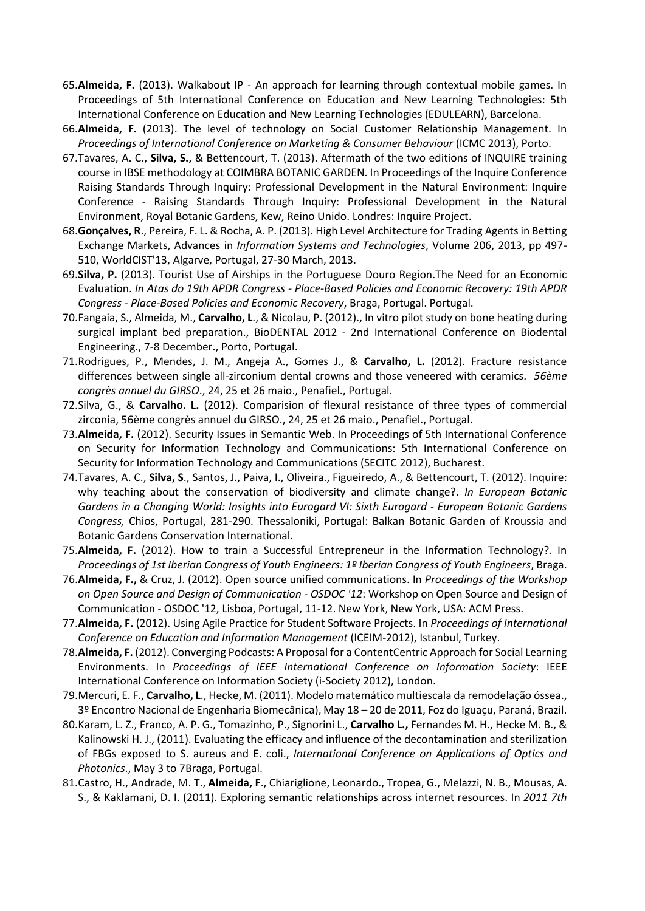- 65.**Almeida, F.** (2013). Walkabout IP An approach for learning through contextual mobile games. In Proceedings of 5th International Conference on Education and New Learning Technologies: 5th International Conference on Education and New Learning Technologies (EDULEARN), Barcelona.
- 66.**Almeida, F.** (2013). The level of technology on Social Customer Relationship Management. In *Proceedings of International Conference on Marketing & Consumer Behaviour* (ICMC 2013), Porto.
- 67.Tavares, A. C., **Silva, S.,** & Bettencourt, T. (2013). Aftermath of the two editions of INQUIRE training course in IBSE methodology at COIMBRA BOTANIC GARDEN. In Proceedings of the Inquire Conference Raising Standards Through Inquiry: Professional Development in the Natural Environment: Inquire Conference - Raising Standards Through Inquiry: Professional Development in the Natural Environment, Royal Botanic Gardens, Kew, Reino Unido. Londres: Inquire Project.
- 68.**Gonçalves, R**., Pereira, F. L. & Rocha, A. P. (2013). High Level Architecture for Trading Agents in Betting Exchange Markets, Advances in *Information Systems and Technologies*, Volume 206, 2013, pp 497- 510, WorldCIST'13, Algarve, Portugal, 27-30 March, 2013.
- 69.**Silva, P.** (2013). Tourist Use of Airships in the Portuguese Douro Region.The Need for an Economic Evaluation. *In Atas do 19th APDR Congress - Place-Based Policies and Economic Recovery: 19th APDR Congress - Place-Based Policies and Economic Recovery*, Braga, Portugal. Portugal.
- 70.Fangaia, S., Almeida, M., **Carvalho, L**., & Nicolau, P. (2012)., In vitro pilot study on bone heating during surgical implant bed preparation., BioDENTAL 2012 - 2nd International Conference on Biodental Engineering., 7-8 December., Porto, Portugal.
- 71.Rodrigues, P., Mendes, J. M., Angeja A., Gomes J., & **Carvalho, L.** (2012). Fracture resistance differences between single all-zirconium dental crowns and those veneered with ceramics. *56ème congrès annuel du GIRSO*., 24, 25 et 26 maio., Penafiel., Portugal.
- 72.Silva, G., & **Carvalho. L.** (2012). Comparision of flexural resistance of three types of commercial zirconia, 56ème congrès annuel du GIRSO., 24, 25 et 26 maio., Penafiel., Portugal.
- 73.**Almeida, F.** (2012). Security Issues in Semantic Web. In Proceedings of 5th International Conference on Security for Information Technology and Communications: 5th International Conference on Security for Information Technology and Communications (SECITC 2012), Bucharest.
- 74.Tavares, A. C., **Silva, S**., Santos, J., Paiva, I., Oliveira., Figueiredo, A., & Bettencourt, T. (2012). Inquire: why teaching about the conservation of biodiversity and climate change?. *In European Botanic Gardens in a Changing World: Insights into Eurogard VI: Sixth Eurogard - European Botanic Gardens Congress,* Chios, Portugal, 281-290. Thessaloniki, Portugal: Balkan Botanic Garden of Kroussia and Botanic Gardens Conservation International.
- 75.**Almeida, F.** (2012). How to train a Successful Entrepreneur in the Information Technology?. In *Proceedings of 1st Iberian Congress of Youth Engineers: 1º Iberian Congress of Youth Engineers*, Braga.
- 76.**Almeida, F.,** & Cruz, J. (2012). Open source unified communications. In *Proceedings of the Workshop on Open Source and Design of Communication - OSDOC '12*: Workshop on Open Source and Design of Communication - OSDOC '12, Lisboa, Portugal, 11-12. New York, New York, USA: ACM Press.
- 77.**Almeida, F.** (2012). Using Agile Practice for Student Software Projects. In *Proceedings of International Conference on Education and Information Management* (ICEIM-2012), Istanbul, Turkey.
- 78.**Almeida, F.** (2012). Converging Podcasts: A Proposal for a ContentCentric Approach for Social Learning Environments. In *Proceedings of IEEE International Conference on Information Society*: IEEE International Conference on Information Society (i-Society 2012), London.
- 79.Mercuri, E. F., **Carvalho, L**., Hecke, M. (2011). Modelo matemático multiescala da remodelação óssea., 3º Encontro Nacional de Engenharia Biomecânica), May 18 – 20 de 2011, Foz do Iguaçu, Paraná, Brazil.
- 80.Karam, L. Z., Franco, A. P. G., Tomazinho, P., Signorini L., **Carvalho L.,** Fernandes M. H., Hecke M. B., & Kalinowski H. J., (2011). Evaluating the efficacy and influence of the decontamination and sterilization of FBGs exposed to S. aureus and E. coli., *International Conference on Applications of Optics and Photonics*., May 3 to 7Braga, Portugal.
- 81.Castro, H., Andrade, M. T., **Almeida, F**., Chiariglione, Leonardo., Tropea, G., Melazzi, N. B., Mousas, A. S., & Kaklamani, D. I. (2011). Exploring semantic relationships across internet resources. In *2011 7th*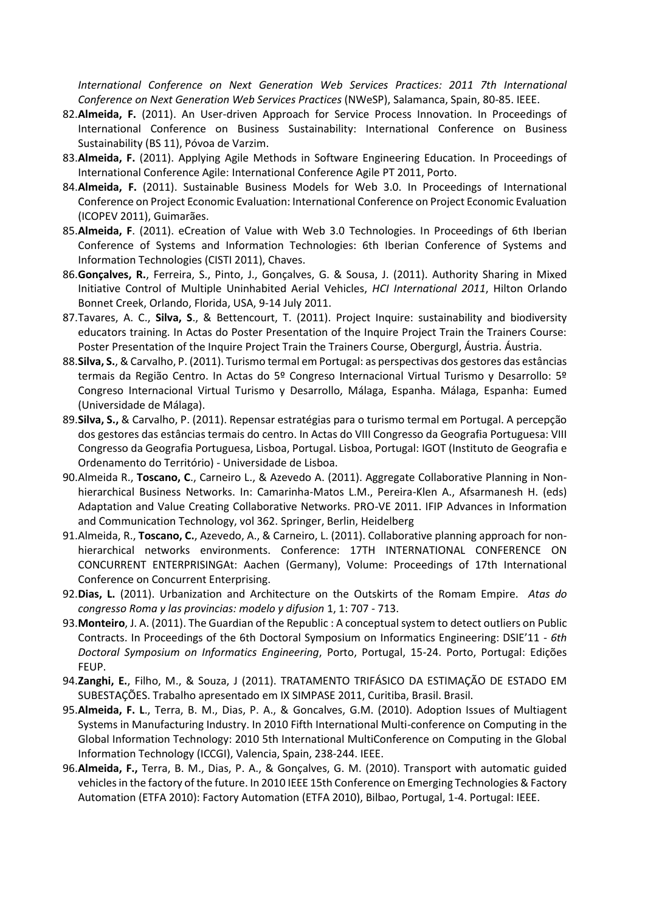*International Conference on Next Generation Web Services Practices: 2011 7th International Conference on Next Generation Web Services Practices* (NWeSP), Salamanca, Spain, 80-85. IEEE.

- 82.**Almeida, F.** (2011). An User-driven Approach for Service Process Innovation. In Proceedings of International Conference on Business Sustainability: International Conference on Business Sustainability (BS 11), Póvoa de Varzim.
- 83.**Almeida, F.** (2011). Applying Agile Methods in Software Engineering Education. In Proceedings of International Conference Agile: International Conference Agile PT 2011, Porto.
- 84.**Almeida, F.** (2011). Sustainable Business Models for Web 3.0. In Proceedings of International Conference on Project Economic Evaluation: International Conference on Project Economic Evaluation (ICOPEV 2011), Guimarães.
- 85.**Almeida, F**. (2011). eCreation of Value with Web 3.0 Technologies. In Proceedings of 6th Iberian Conference of Systems and Information Technologies: 6th Iberian Conference of Systems and Information Technologies (CISTI 2011), Chaves.
- 86.**Gonçalves, R.**, Ferreira, S., Pinto, J., Gonçalves, G. & Sousa, J. (2011). Authority Sharing in Mixed Initiative Control of Multiple Uninhabited Aerial Vehicles, *HCI International 2011*, Hilton Orlando Bonnet Creek, Orlando, Florida, USA, 9-14 July 2011.
- 87.Tavares, A. C., **Silva, S**., & Bettencourt, T. (2011). Project Inquire: sustainability and biodiversity educators training. In Actas do Poster Presentation of the Inquire Project Train the Trainers Course: Poster Presentation of the Inquire Project Train the Trainers Course, Obergurgl, Áustria. Áustria.
- 88.**Silva, S.**, & Carvalho, P. (2011). Turismo termal em Portugal: as perspectivas dos gestores das estâncias termais da Região Centro. In Actas do 5º Congreso Internacional Virtual Turismo y Desarrollo: 5º Congreso Internacional Virtual Turismo y Desarrollo, Málaga, Espanha. Málaga, Espanha: Eumed (Universidade de Málaga).
- 89.**Silva, S.,** & Carvalho, P. (2011). Repensar estratégias para o turismo termal em Portugal. A percepção dos gestores das estâncias termais do centro. In Actas do VIII Congresso da Geografia Portuguesa: VIII Congresso da Geografia Portuguesa, Lisboa, Portugal. Lisboa, Portugal: IGOT (Instituto de Geografia e Ordenamento do Território) - Universidade de Lisboa.
- 90.Almeida R., **Toscano, C**., Carneiro L., & Azevedo A. (2011). Aggregate Collaborative Planning in Nonhierarchical Business Networks. In: Camarinha-Matos L.M., Pereira-Klen A., Afsarmanesh H. (eds) Adaptation and Value Creating Collaborative Networks. PRO-VE 2011. IFIP Advances in Information and Communication Technology, vol 362. Springer, Berlin, Heidelberg
- 91.Almeida, R., **Toscano, C.**, Azevedo, A., & Carneiro, L. (2011). Collaborative planning approach for nonhierarchical networks environments. Conference: 17TH INTERNATIONAL CONFERENCE ON CONCURRENT ENTERPRISINGAt: Aachen (Germany), Volume: Proceedings of 17th International Conference on Concurrent Enterprising.
- 92.**Dias, L.** (2011). Urbanization and Architecture on the Outskirts of the Romam Empire. *Atas do congresso Roma y las provincias: modelo y difusion* 1, 1: 707 - 713.
- 93.**Monteiro**, J. A. (2011). The Guardian of the Republic : A conceptual system to detect outliers on Public Contracts. In Proceedings of the 6th Doctoral Symposium on Informatics Engineering: DSIE'11 - *6th Doctoral Symposium on Informatics Engineering*, Porto, Portugal, 15-24. Porto, Portugal: Edições FEUP.
- 94.**Zanghi, E.**, Filho, M., & Souza, J (2011). TRATAMENTO TRIFÁSICO DA ESTIMAÇÃO DE ESTADO EM SUBESTAÇÕES. Trabalho apresentado em IX SIMPASE 2011, Curitiba, Brasil. Brasil.
- 95.**Almeida, F. L**., Terra, B. M., Dias, P. A., & Goncalves, G.M. (2010). Adoption Issues of Multiagent Systems in Manufacturing Industry. In 2010 Fifth International Multi-conference on Computing in the Global Information Technology: 2010 5th International MultiConference on Computing in the Global Information Technology (ICCGI), Valencia, Spain, 238-244. IEEE.
- 96.**Almeida, F.,** Terra, B. M., Dias, P. A., & Gonçalves, G. M. (2010). Transport with automatic guided vehicles in the factory of the future. In 2010 IEEE 15th Conference on Emerging Technologies & Factory Automation (ETFA 2010): Factory Automation (ETFA 2010), Bilbao, Portugal, 1-4. Portugal: IEEE.